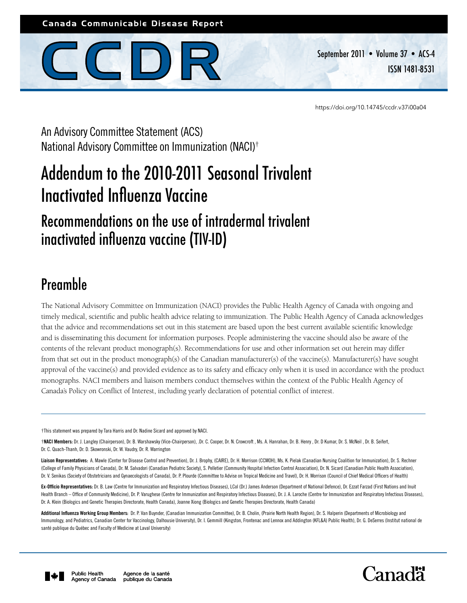## Canada Communicable Disease Report



September 2011 • Volume 37 • ACS-4 ISSN 1481-8531

<https://doi.org/10.14745/ccdr.v37i00a04>

An Advisory Committee Statement (ACS) National Advisory Committee on Immunization (NACI)†

# Addendum to the 2010-2011 Seasonal Trivalent Inactivated Influenza Vaccine

# Recommendations on the use of intradermal trivalent inactivated influenza vaccine (TIV-ID)

# Preamble

The National Advisory Committee on Immunization (NACI) provides the Public Health Agency of Canada with ongoing and timely medical, scientific and public health advice relating to immunization. The Public Health Agency of Canada acknowledges that the advice and recommendations set out in this statement are based upon the best current available scientific knowledge and is disseminating this document for information purposes. People administering the vaccine should also be aware of the contents of the relevant product monograph(s). Recommendations for use and other information set out herein may differ from that set out in the product monograph(s) of the Canadian manufacturer(s) of the vaccine(s). Manufacturer(s) have sought approval of the vaccine(s) and provided evidence as to its safety and efficacy only when it is used in accordance with the product monographs. NACI members and liaison members conduct themselves within the context of the Public Health Agency of Canada's Policy on Conflict of Interest, including yearly declaration of potential conflict of interest.

†This statement was prepared by Tara Harris and Dr. Nadine Sicard and approved by NACI.

†NACI Members: Dr. J. Langley (Chairperson), Dr. B. Warshawsky (Vice-Chairperson), .Dr. C. Cooper, Dr. N. Crowcroft , Ms. A. Hanrahan, Dr. B. Henry , Dr. D Kumar, Dr. S. McNeil , Dr. B. Seifert, Dr. C. Quach-Thanh, Dr. D. Skowronski, Dr. W. Vaudry, Dr. R. Warrington

Liaison Representatives: A. Mawle (Center for Disease Control and Prevention), Dr. J. Brophy, (CAIRE), Dr. H. Morrison (CCMOH), Ms. K. Pielak (Canadian Nursing Coalition for Immunization), Dr. S. Rechner (College of Family Physicians of Canada), Dr. M. Salvadori (Canadian Pediatric Society), S. Pelletier (Community Hospital Infection Control Association), Dr. N. Sicard (Canadian Public Health Association), Dr. V. Senikas (Society of Obstetricians and Gynaecologists of Canada), Dr. P. Plourde (Committee to Advise on Tropical Medicine and Travel), Dr. H. Morrison (Council of Chief Medical Officers of Health)

Ex-Officio Representatives: Dr. B. Law (Centre for Immunization and Respiratory Infectious Diseases), LCol (Dr.) James Anderson (Department of National Defence), Dr. Ezzat Farzad (First Nations and Inuit Health Branch – Office of Community Medicine), Dr. P. Varughese (Centre for Immunization and Respiratory Infectious Diseases), Dr. J. A. Laroche (Centre for Immunization and Respiratory Infectious Diseases), Dr. A. Klein (Biologics and Genetic Therapies Directorate, Health Canada), Joanne Xiong (Biologics and Genetic Therapies Directorate, Health Canada)

Additional Influenza Working Group Members: Dr. P. Van Buynder, (Canadian Immunization Committee), Dr. B. Cholin, (Prairie North Health Region), Dr. S. Halperin (Departments of Microbiology and Immunology, and Pediatrics, Canadian Center for Vaccinology, Dalhousie University), Dr. I. Gemmill (Kingston, Frontenac and Lennox and Addington (KFL&A) Public Health), Dr. G. DeSerres (Institut national de santé publique du Québec and Faculty of Medicine at Laval University)



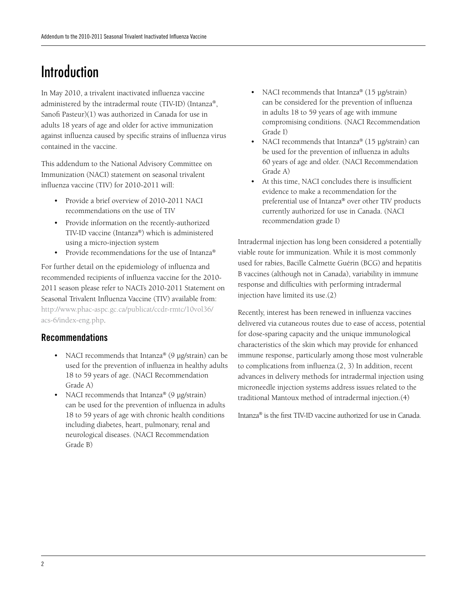# Introduction

In May 2010, a trivalent inactivated influenza vaccine administered by the intradermal route (TIV-ID) (Intanza®, Sanofi Pasteur)(1) was authorized in Canada for use in adults 18 years of age and older for active immunization against influenza caused by specific strains of influenza virus contained in the vaccine.

This addendum to the National Advisory Committee on Immunization (NACI) statement on seasonal trivalent influenza vaccine (TIV) for 2010-2011 will:

- • Provide a brief overview of 2010-2011 NACI recommendations on the use of TIV
- • Provide information on the recently-authorized TIV-ID vaccine (Intanza®) which is administered using a micro-injection system
- Provide recommendations for the use of Intanza®

For further detail on the epidemiology of influenza and recommended recipients of influenza vaccine for the 2010- 2011 season please refer to NACI's 2010-2011 Statement on Seasonal Trivalent Influenza Vaccine (TIV) available from: http://www.phac-aspc.gc.ca/publicat/ccdr-rmtc/10vol36/ acs-6/index-eng.php.

## Recommendations

- NACI recommends that Intanza® (9 μg/strain) can be used for the prevention of influenza in healthy adults 18 to 59 years of age. (NACI Recommendation Grade A)
- NACI recommends that Intanza® (9  $\mu$ g/strain) can be used for the prevention of influenza in adults 18 to 59 years of age with chronic health conditions including diabetes, heart, pulmonary, renal and neurological diseases. (NACI Recommendation Grade B)
- NACI recommends that Intanza<sup>®</sup> (15  $\mu$ g/strain) can be considered for the prevention of influenza in adults 18 to 59 years of age with immune compromising conditions. (NACI Recommendation Grade I)
- NACI recommends that Intanza® (15  $\mu$ g/strain) can be used for the prevention of influenza in adults 60 years of age and older. (NACI Recommendation Grade A)
- At this time. NACI concludes there is insufficient evidence to make a recommendation for the preferential use of Intanza® over other TIV products currently authorized for use in Canada. (NACI recommendation grade I)

Intradermal injection has long been considered a potentially viable route for immunization. While it is most commonly used for rabies, Bacille Calmette Guérin (BCG) and hepatitis B vaccines (although not in Canada), variability in immune response and difficulties with performing intradermal injection have limited its use.(2)

Recently, interest has been renewed in influenza vaccines delivered via cutaneous routes due to ease of access, potential for dose-sparing capacity and the unique immunological characteristics of the skin which may provide for enhanced immune response, particularly among those most vulnerable to complications from influenza.(2, 3) In addition, recent advances in delivery methods for intradermal injection using microneedle injection systems address issues related to the traditional Mantoux method of intradermal injection.(4)

Intanza® is the first TIV-ID vaccine authorized for use in Canada.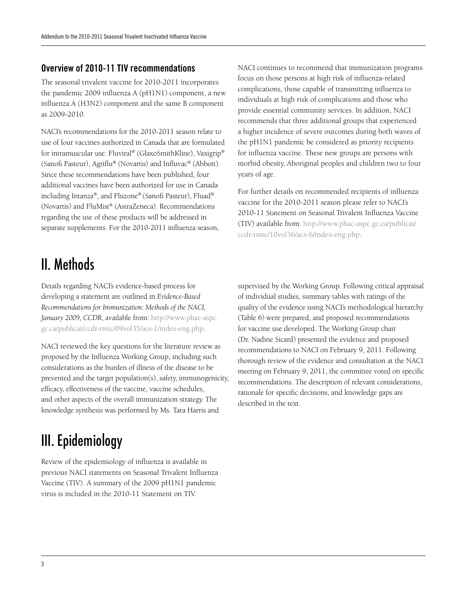### Overview of 2010-11 TIV recommendations

The seasonal trivalent vaccine for 2010-2011 incorporates the pandemic 2009 influenza A (pH1N1) component, a new influenza A (H3N2) component and the same B component as 2009-2010.

NACI's recommendations for the 2010-2011 season relate to use of four vaccines authorized in Canada that are formulated for intramuscular use: Fluviral® (GlaxoSmithKline), Vaxigrip® (Sanofi Pasteur), Agriflu® (Novartis) and Influvac® (Abbott). Since these recommendations have been published, four additional vaccines have been authorized for use in Canada including Intanza®, and Fluzone® (Sanofi Pasteur), Fluad® (Novartis) and FluMist® (AstraZeneca). Recommendations regarding the use of these products will be addressed in separate supplements. For the 2010-2011 influenza season,

II. Methods

Details regarding NACI's evidence-based process for developing a statement are outlined in *Evidence-Based Recommendations for Immunization: Methods of the NACI, January 2009, CCDR*, available from: http://www.phac-aspc. gc.ca/publicat/ccdr-rmtc/09vol35/acs-1/index-eng.php.

NACI reviewed the key questions for the literature review as proposed by the Influenza Working Group, including such considerations as the burden of illness of the disease to be prevented and the target population(s), safety, immunogenicity, efficacy, effectiveness of the vaccine, vaccine schedules, and other aspects of the overall immunization strategy. The knowledge synthesis was performed by Ms. Tara Harris and

III. Epidemiology

Review of the epidemiology of influenza is available in previous NACI statements on Seasonal Trivalent Influenza Vaccine (TIV). A summary of the 2009 pH1N1 pandemic virus is included in the 2010-11 Statement on TIV.

NACI continues to recommend that immunization programs focus on those persons at high risk of influenza-related complications, those capable of transmitting influenza to individuals at high risk of complications and those who provide essential community services. In addition, NACI recommends that three additional groups that experienced a higher incidence of severe outcomes during both waves of the pH1N1 pandemic be considered as priority recipients for influenza vaccine. These new groups are persons with morbid obesity, Aboriginal peoples and children two to four years of age.

For further details on recommended recipients of influenza vaccine for the 2010-2011 season please refer to NACI's 2010-11 Statement on Seasonal Trivalent Influenza Vaccine (TIV) available from: http://www.phac-aspc.gc.ca/publicat/ ccdr-rmtc/10vol36/acs-6/index-eng.php.

supervised by the Working Group. Following critical appraisal of individual studies, summary tables with ratings of the quality of the evidence using NACI's methodological hierarchy (Table 6) were prepared, and proposed recommendations for vaccine use developed. The Working Group chair (Dr. Nadine Sicard) presented the evidence and proposed recommendations to NACI on February 9, 2011. Following thorough review of the evidence and consultation at the NACI meeting on February 9, 2011, the committee voted on specific recommendations. The description of relevant considerations, rationale for specific decisions, and knowledge gaps are described in the text.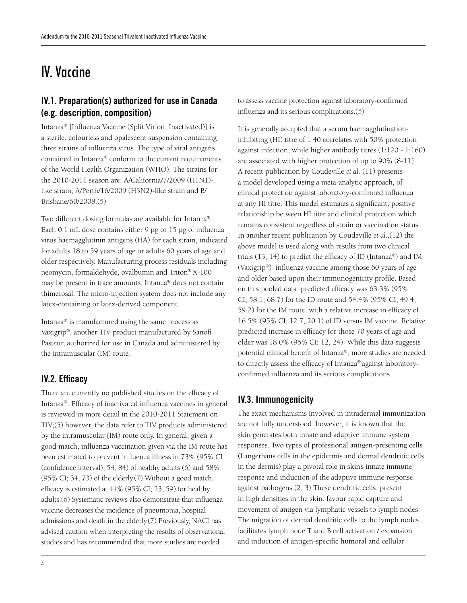# IV. Vaccine

## IV.1. Preparation(s) authorized for use in Canada (e.g. description, composition)

Intanza® [Influenza Vaccine (Split Virion, Inactivated)] is a sterile, colourless and opalescent suspension containing three strains of influenza virus. The type of viral antigens contained in Intanza® conform to the current requirements of the World Health Organization (WHO). The strains for the 2010-2011 season are: A/California/7/2009 (H1N1) like strain, A/Perth/16/2009 (H3N2)-like strain and B/ Brisbane/60/2008.(5)

Two different dosing formulas are available for Intanza®. Each 0.1 mL dose contains either 9 μg or 15 μg of influenza virus haemagglutinin antigens (HA) for each strain, indicated for adults 18 to 59 years of age or adults 60 years of age and older respectively. Manufacturing process residuals including neomycin, formaldehyde, ovalbumin and Triton® X-100 may be present in trace amounts. Intanza® does not contain thimerosal. The micro-injection system does not include any latex-containing or latex-derived component.

Intanza® is manufactured using the same process as Vaxigrip®, another TIV product manufactured by Sanofi Pasteur, authorized for use in Canada and administered by the intramuscular (IM) route.

#### IV.2. Efficacy

There are currently no published studies on the efficacy of Intanza®. Efficacy of inactivated influenza vaccines in general is reviewed in more detail in the 2010-2011 Statement on TIV;(5) however, the data refer to TIV products administered by the intramuscular (IM) route only. In general, given a good match, influenza vaccination given via the IM route has been estimated to prevent influenza illness in 73% (95% CI (confidence interval); 54, 84) of healthy adults (6) and 58% (95% CI; 34, 73) of the elderly.(7) Without a good match, efficacy is estimated at 44% (95% CI; 23, 59) for healthy adults.(6) Systematic reviews also demonstrate that influenza vaccine decreases the incidence of pneumonia, hospital admissions and death in the elderly.(7) Previously, NACI has advised caution when interpreting the results of observational studies and has recommended that more studies are needed

to assess vaccine protection against laboratory-confirmed influenza and its serious complications.(5)

It is generally accepted that a serum haemagglutinationinhibiting (HI) titre of 1:40 correlates with 50% protection against infection, while higher antibody titres (1:120 - 1:160) are associated with higher protection of up to 90%.(8-11) A recent publication by Coudeville *et al.* (11) presents a model developed using a meta-analytic approach, of clinical protection against laboratory-confirmed influenza at any HI titre. This model estimates a significant, positive relationship between HI titre and clinical protection which remains consistent regardless of strain or vaccination status. In another recent publication by Coudeville *et al.,*(12) the above model is used along with results from two clinical trials  $(13, 14)$  to predict the efficacy of ID (Intanza®) and IM (Vaxigrip®) influenza vaccine among those 60 years of age and older based upon their immunogenicity profile. Based on this pooled data, predicted efficacy was 63.3% (95% CI; 58.1, 68.7) for the ID route and 54.4% (95% CI; 49.4, 59.2) for the IM route, with a relative increase in efficacy of 16.5% (95% CI; 12.7, 20.1) of ID versus IM vaccine. Relative predicted increase in efficacy for those 70 years of age and older was 18.0% (95% CI; 12, 24). While this data suggests potential clinical benefit of Intanza®, more studies are needed to directly assess the efficacy of Intanza® against laboratoryconfirmed influenza and its serious complications.

#### IV.3. Immunogenicity

The exact mechanisms involved in intradermal immunization are not fully understood; however, it is known that the skin generates both innate and adaptive immune system responses. Two types of professional antigen-presenting cells (Langerhans cells in the epidermis and dermal dendritic cells in the dermis) play a pivotal role in skin's innate immune response and induction of the adaptive immune response against pathogens.(2, 3) These dendritic cells, present in high densities in the skin, favour rapid capture and movement of antigen via lymphatic vessels to lymph nodes. The migration of dermal dendritic cells to the lymph nodes facilitates lymph node T and B cell activation / expansion and induction of antigen-specific humoral and cellular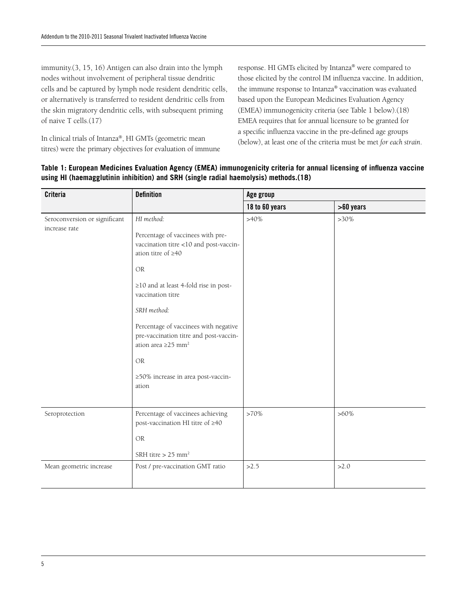immunity.(3, 15, 16) Antigen can also drain into the lymph nodes without involvement of peripheral tissue dendritic cells and be captured by lymph node resident dendritic cells, or alternatively is transferred to resident dendritic cells from the skin migratory dendritic cells, with subsequent priming of naive T cells.(17)

In clinical trials of Intanza®, HI GMTs (geometric mean titres) were the primary objectives for evaluation of immune

response. HI GMTs elicited by Intanza® were compared to those elicited by the control IM influenza vaccine. In addition, the immune response to Intanza® vaccination was evaluated based upon the European Medicines Evaluation Agency (EMEA) immunogenicity criteria (see Table 1 below).(18) EMEA requires that for annual licensure to be granted for a specific influenza vaccine in the pre-defined age groups (below), at least one of the criteria must be met *for each strain*.

| <b>Criteria</b>                                | <b>Definition</b>                                                                                                                                                                                                                                                                                                                                       | Age group      |             |  |  |
|------------------------------------------------|---------------------------------------------------------------------------------------------------------------------------------------------------------------------------------------------------------------------------------------------------------------------------------------------------------------------------------------------------------|----------------|-------------|--|--|
|                                                |                                                                                                                                                                                                                                                                                                                                                         | 18 to 60 years | $>60$ years |  |  |
| Seroconversion or significant<br>increase rate | HI method:<br>Percentage of vaccinees with pre-<br>vaccination titre <10 and post-vaccin-<br>ation titre of $\geq 40$<br><b>OR</b><br>≥10 and at least 4-fold rise in post-<br>vaccination titre<br>SRH method:<br>Percentage of vaccinees with negative<br>pre-vaccination titre and post-vaccin-<br>ation area $\geq$ 25 mm <sup>2</sup><br><b>OR</b> | $>40\%$        | $>30\%$     |  |  |
|                                                | ≥50% increase in area post-vaccin-<br>ation                                                                                                                                                                                                                                                                                                             |                |             |  |  |
| Seroprotection                                 | Percentage of vaccinees achieving<br>post-vaccination HI titre of ≥40<br><b>OR</b><br>SRH titre $> 25$ mm <sup>2</sup>                                                                                                                                                                                                                                  | $>70\%$        | $>60\%$     |  |  |
| Mean geometric increase                        | Post / pre-vaccination GMT ratio                                                                                                                                                                                                                                                                                                                        | >2.5           | >2.0        |  |  |

#### **Table 1: European Medicines Evaluation Agency (EMEA) immunogenicity criteria for annual licensing of influenza vaccine using HI (haemagglutinin inhibition) and SRH (single radial haemolysis) methods.(18)**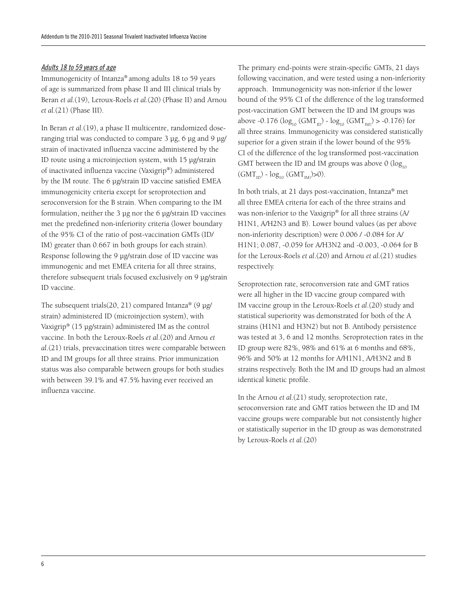#### *Adults 18 to 59 years of age*

Immunogenicity of Intanza® among adults 18 to 59 years of age is summarized from phase II and III clinical trials by Beran *et al.*(19), Leroux-Roels *et al.*(20) (Phase II) and Arnou *et al.*(21) (Phase III).

In Beran *et al*.(19), a phase II multicentre, randomized doseranging trial was conducted to compare 3 μg, 6 μg and 9 μg/ strain of inactivated influenza vaccine administered by the ID route using a microinjection system, with 15 μg/strain of inactivated influenza vaccine (Vaxigrip®) administered by the IM route. The 6 μg/strain ID vaccine satisfied EMEA immunogenicity criteria except for seroprotection and seroconversion for the B strain. When comparing to the IM formulation, neither the 3 μg nor the 6 μg/strain ID vaccines met the predefined non-inferiority criteria (lower boundary of the 95% CI of the ratio of post-vaccination GMTs (ID/ IM) greater than 0.667 in both groups for each strain). Response following the 9 μg/strain dose of ID vaccine was immunogenic and met EMEA criteria for all three strains, therefore subsequent trials focused exclusively on 9 μg/strain ID vaccine.

The subsequent trials(20, 21) compared Intanza® (9 μg/ strain) administered ID (microinjection system), with Vaxigrip® (15 μg/strain) administered IM as the control vaccine. In both the Leroux-Roels *et al*.(20) and Arnou *et al*.(21) trials, prevaccination titres were comparable between ID and IM groups for all three strains. Prior immunization status was also comparable between groups for both studies with between 39.1% and 47.5% having ever received an influenza vaccine.

The primary end-points were strain-specific GMTs, 21 days following vaccination, and were tested using a non-inferiority approach. Immunogenicity was non-inferior if the lower bound of the 95% CI of the difference of the log transformed post-vaccination GMT between the ID and IM groups was above -0.176 ( $\log_{10}$  (GMT<sub>ID</sub>) -  $\log_{10}$  (GMT<sub>IM</sub>) > -0.176) for all three strains. Immunogenicity was considered statistically superior for a given strain if the lower bound of the 95% CI of the difference of the log transformed post-vaccination GMT between the ID and IM groups was above 0 ( $log_{10}$ )  $(GMT_{ID}) - log_{10} (GMT_{IM}) > 0$ .

In both trials, at 21 days post-vaccination, Intanza® met all three EMEA criteria for each of the three strains and was non-inferior to the Vaxigrip® for all three strains (A/ H1N1, A/H2N3 and B). Lower bound values (as per above non-inferiority description) were 0.006 / -0.084 for A/ H1N1; 0.087, -0.059 for A/H3N2 and -0.003, -0.064 for B for the Leroux-Roels *et al*.(20) and Arnou *et al.*(21) studies respectively.

Seroprotection rate, seroconversion rate and GMT ratios were all higher in the ID vaccine group compared with IM vaccine group in the Leroux-Roels *et al*.(20) study and statistical superiority was demonstrated for both of the A strains (H1N1 and H3N2) but not B. Antibody persistence was tested at 3, 6 and 12 months. Seroprotection rates in the ID group were 82%, 98% and 61% at 6 months and 68%, 96% and 50% at 12 months for A/H1N1, A/H3N2 and B strains respectively. Both the IM and ID groups had an almost identical kinetic profile.

In the Arnou *et al.*(21) study, seroprotection rate, seroconversion rate and GMT ratios between the ID and IM vaccine groups were comparable but not consistently higher or statistically superior in the ID group as was demonstrated by Leroux-Roels *et al*.(20)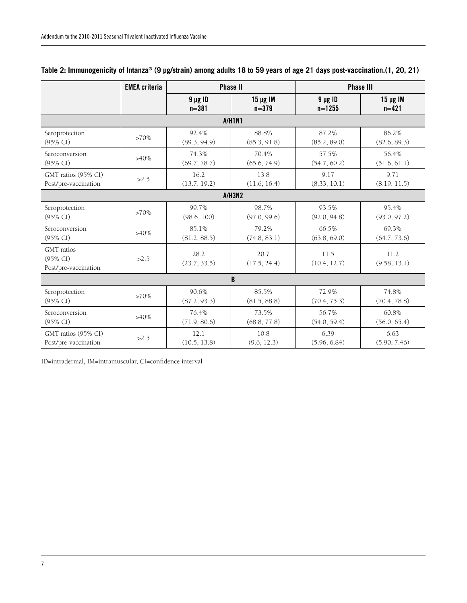|                                                | <b>EMEA</b> criteria | <b>Phase II</b>           |                            | <b>Phase III</b>           |                            |  |
|------------------------------------------------|----------------------|---------------------------|----------------------------|----------------------------|----------------------------|--|
|                                                |                      | $9 \mu g$ ID<br>$n = 381$ | $15 \mu g$ IM<br>$n = 379$ | $9 \mu g$ ID<br>$n = 1255$ | $15 \mu g$ IM<br>$n = 421$ |  |
|                                                |                      |                           | <b>A/H1N1</b>              |                            |                            |  |
| Seroprotection                                 | $>70\%$              | 92.4%                     | 88.8%                      | 87.2%                      | 86.2%                      |  |
| (95% CI)                                       |                      | (89.3, 94.9)              | (85.3, 91.8)               | (85.2, 89.0)               | (82.6, 89.3)               |  |
| Seroconversion                                 | $>40\%$              | 74.3%                     | 70.4%                      | 57.5%                      | 56.4%                      |  |
| $(95\% \text{ CI})$                            |                      | (69.7, 78.7)              | (65.6, 74.9)               | (54.7, 60.2)               | (51.6, 61.1)               |  |
| GMT ratios (95% CI)                            | >2.5                 | 16.2                      | 13.8                       | 9.17                       | 9.71                       |  |
| Post/pre-vaccination                           |                      | (13.7, 19.2)              | (11.6, 16.4)               | (8.33, 10.1)               | (8.19, 11.5)               |  |
|                                                |                      |                           | A/H3N2                     |                            |                            |  |
| Seroprotection                                 | $>70\%$              | 99.7%                     | 98.7%                      | 93.5%                      | 95.4%                      |  |
| $(95\% \text{ CI})$                            |                      | (98.6, 100)               | (97.0, 99.6)               | (92.0, 94.8)               | (93.0, 97.2)               |  |
| Seroconversion                                 | $>40\%$              | 85.1%                     | 79.2%                      | 66.5%                      | 69.3%                      |  |
| $(95\% \text{ CI})$                            |                      | (81.2, 88.5)              | (74.8, 83.1)               | (63.8, 69.0)               | (64.7, 73.6)               |  |
| GMT ratios<br>(95% CI)<br>Post/pre-vaccination | >2.5                 | 28.2<br>(23.7, 33.5)      | 20.7<br>(17.5, 24.4)       | 11.5<br>(10.4, 12.7)       | 11.2<br>(9.58, 13.1)       |  |
|                                                |                      |                           | B                          |                            |                            |  |
| Seroprotection                                 | $>70\%$              | 90.6%                     | 85.5%                      | 72.9%                      | 74.8%                      |  |
| (95% CI)                                       |                      | (87.2, 93.3)              | (81.5, 88.8)               | (70.4, 75.3)               | (70.4, 78.8)               |  |
| Seroconversion                                 | $>40\%$              | 76.4%                     | 73.5%                      | 56.7%                      | 60.8%                      |  |
| $(95\% \text{ CI})$                            |                      | (71.9, 80.6)              | (68.8, 77.8)               | (54.0, 59.4)               | (56.0, 65.4)               |  |
| GMT ratios (95% CI)                            | >2.5                 | 12.1                      | 10.8                       | 6.39                       | 6.63                       |  |
| Post/pre-vaccination                           |                      | (10.5, 13.8)              | (9.6, 12.3)                | (5.96, 6.84)               | (5.90, 7.46)               |  |

## **Table 2: Immunogenicity of Intanza® (9 μg/strain) among adults 18 to 59 years of age 21 days post-vaccination.(1, 20, 21)**

ID=intradermal, IM=intramuscular, CI=confidence interval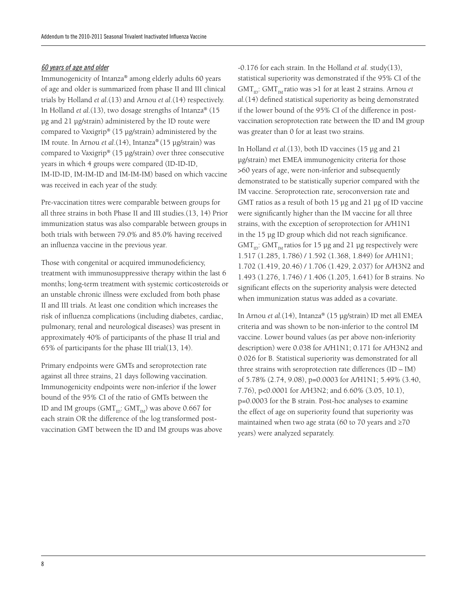#### *60 years of age and older*

Immunogenicity of Intanza® among elderly adults 60 years of age and older is summarized from phase II and III clinical trials by Holland *et al*.(13) and Arnou *et al*.(14) respectively. In Holland *et al.*(13), two dosage strengths of Intanza® (15 μg and 21 μg/strain) administered by the ID route were compared to Vaxigrip® (15 μg/strain) administered by the IM route. In Arnou *et al*.(14), Intanza® (15 μg/strain) was compared to Vaxigrip® (15 μg/strain) over three consecutive years in which 4 groups were compared (ID-ID-ID, IM-ID-ID, IM-IM-ID and IM-IM-IM) based on which vaccine was received in each year of the study.

Pre-vaccination titres were comparable between groups for all three strains in both Phase II and III studies.(13, 14) Prior immunization status was also comparable between groups in both trials with between 79.0% and 85.0% having received an influenza vaccine in the previous year.

Those with congenital or acquired immunodeficiency, treatment with immunosuppressive therapy within the last 6 months; long-term treatment with systemic corticosteroids or an unstable chronic illness were excluded from both phase II and III trials. At least one condition which increases the risk of influenza complications (including diabetes, cardiac, pulmonary, renal and neurological diseases) was present in approximately 40% of participants of the phase II trial and 65% of participants for the phase III trial(13, 14).

Primary endpoints were GMTs and seroprotection rate against all three strains, 21 days following vaccination. Immunogenicity endpoints were non-inferior if the lower bound of the 95% CI of the ratio of GMTs between the ID and IM groups (GMT<sub>ID</sub>: GMT<sub>IM</sub>) was above 0.667 for each strain OR the difference of the log transformed postvaccination GMT between the ID and IM groups was above

-0.176 for each strain. In the Holland *et al.* study(13), statistical superiority was demonstrated if the 95% CI of the  $GMT_{12}$ :  $GMT_{14}$  ratio was >1 for at least 2 strains. Arnou *et al.*(14) defined statistical superiority as being demonstrated if the lower bound of the 95% CI of the difference in postvaccination seroprotection rate between the ID and IM group was greater than 0 for at least two strains.

In Holland *et al*.(13), both ID vaccines (15 μg and 21 μg/strain) met EMEA immunogenicity criteria for those >60 years of age, were non-inferior and subsequently demonstrated to be statistically superior compared with the IM vaccine. Seroprotection rate, seroconversion rate and GMT ratios as a result of both 15 μg and 21 μg of ID vaccine were significantly higher than the IM vaccine for all three strains, with the exception of seroprotection for A/H1N1 in the 15 μg ID group which did not reach significance.  $GMT_{1D}$ :  $GMT_{1M}$  ratios for 15 μg and 21 μg respectively were 1.517 (1.285, 1.786) / 1.592 (1.368, 1.849) for A/H1N1; 1.702 (1.419, 20.46) / 1.706 (1.429, 2.037) for A/H3N2 and 1.493 (1.276, 1.746) / 1.406 (1.205, 1.641) for B strains. No significant effects on the superiority analysis were detected when immunization status was added as a covariate.

In Arnou *et al.*(14), Intanza® (15 μg/strain) ID met all EMEA criteria and was shown to be non-inferior to the control IM vaccine. Lower bound values (as per above non-inferiority description) were 0.038 for A/H1N1; 0.171 for A/H3N2 and 0.026 for B. Statistical superiority was demonstrated for all three strains with seroprotection rate differences (ID – IM) of 5.78% (2.74, 9.08), p=0.0003 for A/H1N1; 5.49% (3.40, 7.76), p<0.0001 for A/H3N2; and 6.60% (3.05, 10.1), p=0.0003 for the B strain. Post-hoc analyses to examine the effect of age on superiority found that superiority was maintained when two age strata (60 to 70 years and ≥70 years) were analyzed separately.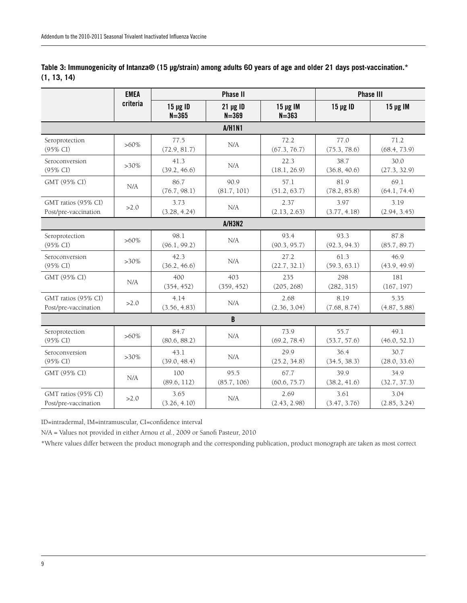|                                             | <b>EMEA</b> | <b>Phase II</b>            |                            |                            | <b>Phase III</b>     |                      |  |
|---------------------------------------------|-------------|----------------------------|----------------------------|----------------------------|----------------------|----------------------|--|
|                                             | criteria    | $15 \mu g$ ID<br>$N = 365$ | $21 \mu g$ ID<br>$N = 369$ | $15 \mu g$ IM<br>$N = 363$ | $15 \mu g$ ID        | $15 \mu g$ IM        |  |
|                                             |             |                            | <b>A/H1N1</b>              |                            |                      |                      |  |
| Seroprotection<br>(95% CI)                  | $>60\%$     | 77.5<br>(72.9, 81.7)       | N/A                        | 72.2<br>(67.3, 76.7)       | 77.0<br>(75.3, 78.6) | 71.2<br>(68.4, 73.9) |  |
| Seroconversion<br>(95% CI)                  | $>30\%$     | 41.3<br>(39.2, 46.6)       | N/A                        | 22.3<br>(18.1, 26.9)       | 38.7<br>(36.8, 40.6) | 30.0<br>(27.3, 32.9) |  |
| GMT (95% CI)                                | N/A         | 86.7<br>(76.7, 98.1)       | 90.9<br>(81.7, 101)        | 57.1<br>(51.2, 63.7)       | 81.9<br>(78.2, 85.8) | 69.1<br>(64.1, 74.4) |  |
| GMT ratios (95% CI)<br>Post/pre-vaccination | >2.0        | 3.73<br>(3.28, 4.24)       | N/A                        | 2.37<br>(2.13, 2.63)       | 3.97<br>(3.77, 4.18) | 3.19<br>(2.94, 3.45) |  |
|                                             |             |                            | <b>A/H3N2</b>              |                            |                      |                      |  |
| Seroprotection<br>(95% CI)                  | $>60\%$     | 98.1<br>(96.1, 99.2)       | N/A                        | 93.4<br>(90.3, 95.7)       | 93.3<br>(92.3, 94.3) | 87.8<br>(85.7, 89.7) |  |
| Seroconversion<br>(95% CI)                  | $>30\%$     | 42.3<br>(36.2, 46.6)       | N/A                        | 27.2<br>(22.7, 32.1)       | 61.3<br>(59.3, 63.1) | 46.9<br>(43.9, 49.9) |  |
| GMT (95% CI)                                | N/A         | 400<br>(354, 452)          | 403<br>(359, 452)          | 235<br>(205, 268)          | 298<br>(282, 315)    | 181<br>(167, 197)    |  |
| GMT ratios (95% CI)<br>Post/pre-vaccination | >2.0        | 4.14<br>(3.56, 4.83)       | N/A                        | 2.68<br>(2.36, 3.04)       | 8.19<br>(7.68, 8.74) | 5.35<br>(4.87, 5.88) |  |
|                                             |             |                            | B                          |                            |                      |                      |  |
| Seroprotection<br>(95% CI)                  | $>60\%$     | 84.7<br>(80.6, 88.2)       | N/A                        | 73.9<br>(69.2, 78.4)       | 55.7<br>(53.7, 57.6) | 49.1<br>(46.0, 52.1) |  |
| Seroconversion<br>(95% CI)                  | $>30\%$     | 43.1<br>(39.0, 48.4)       | N/A                        | 29.9<br>(25.2, 34.8)       | 36.4<br>(34.5, 38.3) | 30.7<br>(28.0, 33.6) |  |
| GMT (95% CI)                                | N/A         | 100<br>(89.6, 112)         | 95.5<br>(85.7, 106)        | 67.7<br>(60.6, 75.7)       | 39.9<br>(38.2, 41.6) | 34.9<br>(32.7, 37.3) |  |
| GMT ratios (95% CI)<br>Post/pre-vaccination | >2.0        | 3.65<br>(3.26, 4.10)       | N/A                        | 2.69<br>(2.43, 2.98)       | 3.61<br>(3.47, 3.76) | 3.04<br>(2.85, 3.24) |  |

**Table 3: Immunogenicity of Intanza® (15 μg/strain) among adults 60 years of age and older 21 days post-vaccination.\* (1, 13, 14)**

ID=intradermal, IM=intramuscular, CI=confidence interval

N/A = Values not provided in either Arnou *et al.*, 2009 or Sanofi Pasteur, 2010

\*Where values differ between the product monograph and the corresponding publication, product monograph are taken as most correct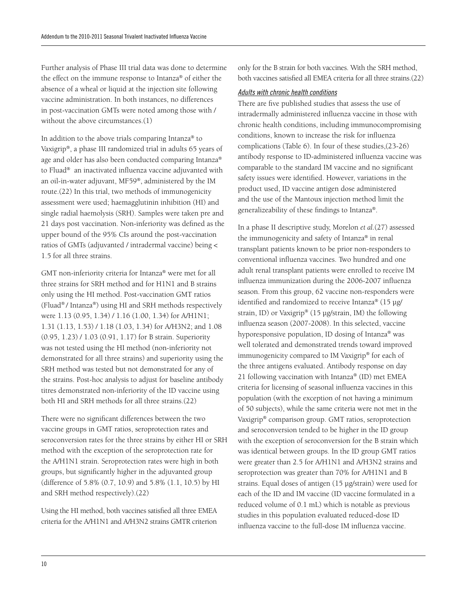Further analysis of Phase III trial data was done to determine the effect on the immune response to Intanza® of either the absence of a wheal or liquid at the injection site following vaccine administration. In both instances, no differences in post-vaccination GMTs were noted among those with / without the above circumstances.(1)

In addition to the above trials comparing Intanza® to Vaxigrip®, a phase III randomized trial in adults 65 years of age and older has also been conducted comparing Intanza® to Fluad® an inactivated influenza vaccine adjuvanted with an oil-in-water adjuvant, MF59®, administered by the IM route.(22) In this trial, two methods of immunogenicity assessment were used; haemagglutinin inhibition (HI) and single radial haemolysis (SRH). Samples were taken pre and 21 days post vaccination. Non-inferiority was defined as the upper bound of the 95% CIs around the post-vaccination ratios of GMTs (adjuvanted / intradermal vaccine) being < 1.5 for all three strains.

GMT non-inferiority criteria for Intanza® were met for all three strains for SRH method and for H1N1 and B strains only using the HI method. Post-vaccination GMT ratios (Fluad® / Intanza®) using HI and SRH methods respectively were 1.13 (0.95, 1.34) / 1.16 (1.00, 1.34) for A/H1N1; 1.31 (1.13, 1.53) / 1.18 (1.03, 1.34) for A/H3N2; and 1.08 (0.95, 1.23) / 1.03 (0.91, 1.17) for B strain. Superiority was not tested using the HI method (non-inferiority not demonstrated for all three strains) and superiority using the SRH method was tested but not demonstrated for any of the strains. Post-hoc analysis to adjust for baseline antibody titres demonstrated non-inferiority of the ID vaccine using both HI and SRH methods for all three strains.(22)

There were no significant differences between the two vaccine groups in GMT ratios, seroprotection rates and seroconversion rates for the three strains by either HI or SRH method with the exception of the seroprotection rate for the A/H1N1 strain. Seroprotection rates were high in both groups, but significantly higher in the adjuvanted group (difference of 5.8% (0.7, 10.9) and 5.8% (1.1, 10.5) by HI and SRH method respectively).(22)

Using the HI method, both vaccines satisfied all three EMEA criteria for the A/H1N1 and A/H3N2 strains GMTR criterion only for the B strain for both vaccines. With the SRH method, both vaccines satisfied all EMEA criteria for all three strains.(22)

#### *Adults with chronic health conditions*

There are five published studies that assess the use of intradermally administered influenza vaccine in those with chronic health conditions, including immunocompromising conditions, known to increase the risk for influenza complications (Table 6). In four of these studies,(23-26) antibody response to ID-administered influenza vaccine was comparable to the standard IM vaccine and no significant safety issues were identified. However, variations in the product used, ID vaccine antigen dose administered and the use of the Mantoux injection method limit the generalizeability of these findings to Intanza®.

In a phase II descriptive study, Morelon *et al.*(27) assessed the immunogenicity and safety of Intanza® in renal transplant patients known to be prior non-responders to conventional influenza vaccines. Two hundred and one adult renal transplant patients were enrolled to receive IM influenza immunization during the 2006-2007 influenza season. From this group, 62 vaccine non-responders were identified and randomized to receive Intanza® (15 μg/ strain, ID) or Vaxigrip® (15 μg/strain, IM) the following influenza season (2007-2008). In this selected, vaccine hyporesponsive population, ID dosing of Intanza® was well tolerated and demonstrated trends toward improved immunogenicity compared to IM Vaxigrip® for each of the three antigens evaluated. Antibody response on day 21 following vaccination with Intanza® (ID) met EMEA criteria for licensing of seasonal influenza vaccines in this population (with the exception of not having a minimum of 50 subjects), while the same criteria were not met in the Vaxigrip® comparison group. GMT ratios, seroprotection and seroconversion tended to be higher in the ID group with the exception of seroconversion for the B strain which was identical between groups. In the ID group GMT ratios were greater than 2.5 for A/H1N1 and A/H3N2 strains and seroprotection was greater than 70% for A/H1N1 and B strains. Equal doses of antigen (15 μg/strain) were used for each of the ID and IM vaccine (ID vaccine formulated in a reduced volume of 0.1 mL) which is notable as previous studies in this population evaluated reduced-dose ID influenza vaccine to the full-dose IM influenza vaccine.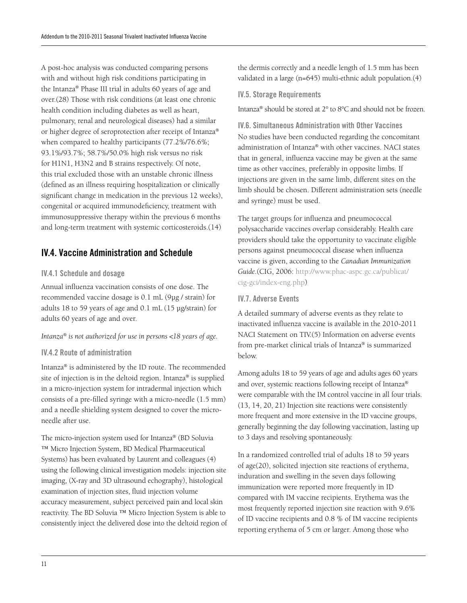A post-hoc analysis was conducted comparing persons with and without high risk conditions participating in the Intanza® Phase III trial in adults 60 years of age and over.(28) Those with risk conditions (at least one chronic health condition including diabetes as well as heart, pulmonary, renal and neurological diseases) had a similar or higher degree of seroprotection after receipt of Intanza® when compared to healthy participants (77.2%/76.6%; 93.1%/93.7%; 58.7%/50.0% high risk versus no risk for H1N1, H3N2 and B strains respectively. Of note, this trial excluded those with an unstable chronic illness (defined as an illness requiring hospitalization or clinically significant change in medication in the previous 12 weeks), congenital or acquired immunodeficiency, treatment with immunosuppressive therapy within the previous 6 months and long-term treatment with systemic corticosteroids.(14)

## IV.4. Vaccine Administration and Schedule

#### IV.4.1 Schedule and dosage

Annual influenza vaccination consists of one dose. The recommended vaccine dosage is 0.1 mL (9μg / strain) for adults 18 to 59 years of age and 0.1 mL (15 μg/strain) for adults 60 years of age and over.

#### *Intanza® is not authorized for use in persons <18 years of age.*

#### IV.4.2 Route of administration

Intanza® is administered by the ID route. The recommended site of injection is in the deltoid region. Intanza® is supplied in a micro-injection system for intradermal injection which consists of a pre-filled syringe with a micro-needle (1.5 mm) and a needle shielding system designed to cover the microneedle after use.

The micro-injection system used for Intanza® (BD Soluvia ™ Micro Injection System, BD Medical Pharmaceutical Systems) has been evaluated by Laurent and colleagues (4) using the following clinical investigation models: injection site imaging, (X-ray and 3D ultrasound echography), histological examination of injection sites, fluid injection volume accuracy measurement, subject perceived pain and local skin reactivity. The BD Soluvia ™ Micro Injection System is able to consistently inject the delivered dose into the deltoid region of the dermis correctly and a needle length of 1.5 mm has been validated in a large (n=645) multi-ethnic adult population.(4)

#### IV.5. Storage Requirements

Intanza® should be stored at 2° to 8°C and should not be frozen.

IV.6. Simultaneous Administration with Other Vaccines No studies have been conducted regarding the concomitant administration of Intanza® with other vaccines. NACI states that in general, influenza vaccine may be given at the same time as other vaccines, preferably in opposite limbs. If injections are given in the same limb, different sites on the limb should be chosen. Different administration sets (needle and syringe) must be used.

The target groups for influenza and pneumococcal polysaccharide vaccines overlap considerably. Health care providers should take the opportunity to vaccinate eligible persons against pneumococcal disease when influenza vaccine is given, according to the *Canadian Immunization Guide.*(CIG, 2006: http://www.phac-aspc.gc.ca/publicat/ cig-gci/index-eng.php)

#### IV.7. Adverse Events

A detailed summary of adverse events as they relate to inactivated influenza vaccine is available in the 2010-2011 NACI Statement on TIV.(5) Information on adverse events from pre-market clinical trials of Intanza® is summarized below.

Among adults 18 to 59 years of age and adults ages 60 years and over, systemic reactions following receipt of Intanza® were comparable with the IM control vaccine in all four trials. (13, 14, 20, 21) Injection site reactions were consistently more frequent and more extensive in the ID vaccine groups, generally beginning the day following vaccination, lasting up to 3 days and resolving spontaneously.

In a randomized controlled trial of adults 18 to 59 years of age(20), solicited injection site reactions of erythema, induration and swelling in the seven days following immunization were reported more frequently in ID compared with IM vaccine recipients. Erythema was the most frequently reported injection site reaction with 9.6% of ID vaccine recipients and 0.8 % of IM vaccine recipients reporting erythema of 5 cm or larger. Among those who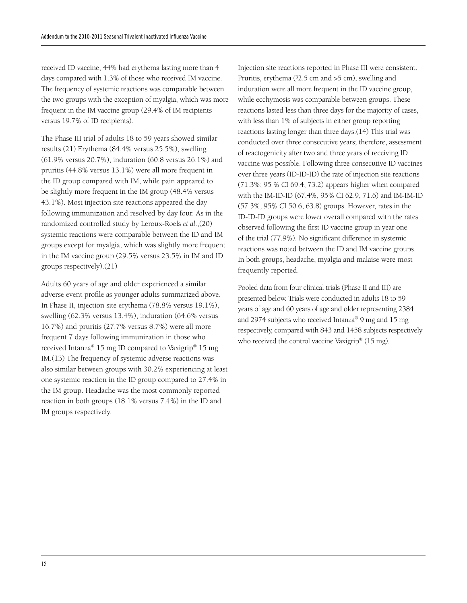received ID vaccine, 44% had erythema lasting more than 4 days compared with 1.3% of those who received IM vaccine. The frequency of systemic reactions was comparable between the two groups with the exception of myalgia, which was more frequent in the IM vaccine group (29.4% of IM recipients versus 19.7% of ID recipients).

The Phase III trial of adults 18 to 59 years showed similar results.(21) Erythema (84.4% versus 25.5%), swelling (61.9% versus 20.7%), induration (60.8 versus 26.1%) and pruritis (44.8% versus 13.1%) were all more frequent in the ID group compared with IM, while pain appeared to be slightly more frequent in the IM group (48.4% versus 43.1%). Most injection site reactions appeared the day following immunization and resolved by day four. As in the randomized controlled study by Leroux-Roels *et al*.,(20) systemic reactions were comparable between the ID and IM groups except for myalgia, which was slightly more frequent in the IM vaccine group (29.5% versus 23.5% in IM and ID groups respectively).(21)

Adults 60 years of age and older experienced a similar adverse event profile as younger adults summarized above. In Phase II, injection site erythema (78.8% versus 19.1%), swelling (62.3% versus 13.4%), induration (64.6% versus 16.7%) and pruritis (27.7% versus 8.7%) were all more frequent 7 days following immunization in those who received Intanza® 15 mg ID compared to Vaxigrip® 15 mg IM.(13) The frequency of systemic adverse reactions was also similar between groups with 30.2% experiencing at least one systemic reaction in the ID group compared to 27.4% in the IM group. Headache was the most commonly reported reaction in both groups (18.1% versus 7.4%) in the ID and IM groups respectively.

Injection site reactions reported in Phase III were consistent. Pruritis, erythema  $(32.5 \text{ cm and } >5 \text{ cm})$ , swelling and induration were all more frequent in the ID vaccine group, while ecchymosis was comparable between groups. These reactions lasted less than three days for the majority of cases, with less than 1% of subjects in either group reporting reactions lasting longer than three days.(14) This trial was conducted over three consecutive years; therefore, assessment of reactogenicity after two and three years of receiving ID vaccine was possible. Following three consecutive ID vaccines over three years (ID-ID-ID) the rate of injection site reactions (71.3%; 95 % CI 69.4, 73.2) appears higher when compared with the IM-ID-ID (67.4%, 95% CI 62.9, 71.6) and IM-IM-ID (57.3%, 95% CI 50.6, 63.8) groups. However, rates in the ID-ID-ID groups were lower overall compared with the rates observed following the first ID vaccine group in year one of the trial (77.9%). No significant difference in systemic reactions was noted between the ID and IM vaccine groups. In both groups, headache, myalgia and malaise were most frequently reported.

Pooled data from four clinical trials (Phase II and III) are presented below. Trials were conducted in adults 18 to 59 years of age and 60 years of age and older representing 2384 and 2974 subjects who received Intanza® 9 mg and 15 mg respectively, compared with 843 and 1458 subjects respectively who received the control vaccine Vaxigrip® (15 mg).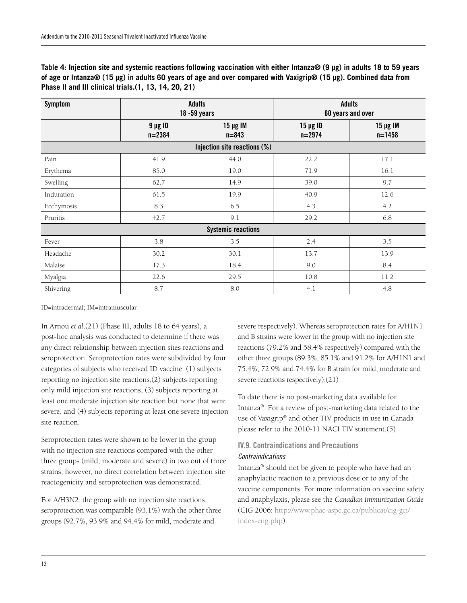| Table 4: Injection site and systemic reactions following vaccination with either Intanza® (9 µg) in adults 18 to 59 years |
|---------------------------------------------------------------------------------------------------------------------------|
| of age or Intanza® (15 µg) in adults 60 years of age and over compared with Vaxigrip® (15 µg). Combined data from         |
| Phase II and III clinical trials. (1, 13, 14, 20, 21)                                                                     |

| <b>Symptom</b> | <b>Adults</b><br>$18 - 59$ years |                              | <b>Adults</b><br>60 years and over |                             |
|----------------|----------------------------------|------------------------------|------------------------------------|-----------------------------|
|                | $9 \mu g$ ID<br>$n = 2384$       | $15 \mu g$ IM<br>$n = 843$   | $15 \mu g$ ID<br>$n = 2974$        | $15 \mu g$ IM<br>$n = 1458$ |
|                |                                  | Injection site reactions (%) |                                    |                             |
| Pain           | 41.9                             | 44.0                         | 22.2                               | 17.1                        |
| Erythema       | 85.0                             | 19.0                         | 71.9                               | 16.1                        |
| Swelling       | 62.7                             | 14.9                         | 39.0                               | 9.7                         |
| Induration     | 61.5                             | 19.9                         | 40.9                               | 12.6                        |
| Ecchymosis     | 8.3                              | 6.5                          | 4.3                                | 4.2                         |
| Pruritis       | 42.7                             | 9.1                          | 29.2                               | 6.8                         |
|                |                                  | <b>Systemic reactions</b>    |                                    |                             |
| Fever          | 3.8                              | 3.5                          | 2.4                                | 3.5                         |
| Headache       | 30.2                             | 30.1                         | 13.7                               | 13.9                        |
| Malaise        | 17.3                             | 18.4                         | 9.0                                | 8.4                         |
| Myalgia        | 22.6                             | 29.5                         | 10.8                               | 11.2                        |
| Shivering      | 8.7                              | 8.0                          | 4.1                                | 4.8                         |

ID=intradermal; IM=intramuscular

In Arnou *et al*.(21) (Phase III, adults 18 to 64 years), a post-hoc analysis was conducted to determine if there was any direct relationship between injection sites reactions and seroprotection. Seroprotection rates were subdivided by four categories of subjects who received ID vaccine: (1) subjects reporting no injection site reactions,(2) subjects reporting only mild injection site reactions, (3) subjects reporting at least one moderate injection site reaction but none that were severe, and (4) subjects reporting at least one severe injection site reaction.

Seroprotection rates were shown to be lower in the group with no injection site reactions compared with the other three groups (mild, moderate and severe) in two out of three strains; however, no direct correlation between injection site reactogenicity and seroprotection was demonstrated.

For A/H3N2, the group with no injection site reactions, seroprotection was comparable (93.1%) with the other three groups (92.7%, 93.9% and 94.4% for mild, moderate and

severe respectively). Whereas seroprotection rates for A/H1N1 and B strains were lower in the group with no injection site reactions (79.2% and 58.4% respectively) compared with the other three groups (89.3%, 85.1% and 91.2% for A/H1N1 and 75.4%, 72.9% and 74.4% for B strain for mild, moderate and severe reactions respectively).(21)

To date there is no post-marketing data available for Intanza®. For a review of post-marketing data related to the use of Vaxigrip® and other TIV products in use in Canada please refer to the 2010-11 NACI TIV statement.(5)

## IV.9. Contraindications and Precautions

## *Contraindications*

Intanza® should not be given to people who have had an anaphylactic reaction to a previous dose or to any of the vaccine components. For more information on vaccine safety and anaphylaxis, please see the *Canadian Immunization Guide* (CIG 2006: http://www.phac-aspc.gc.ca/publicat/cig-gci/ index-eng.php).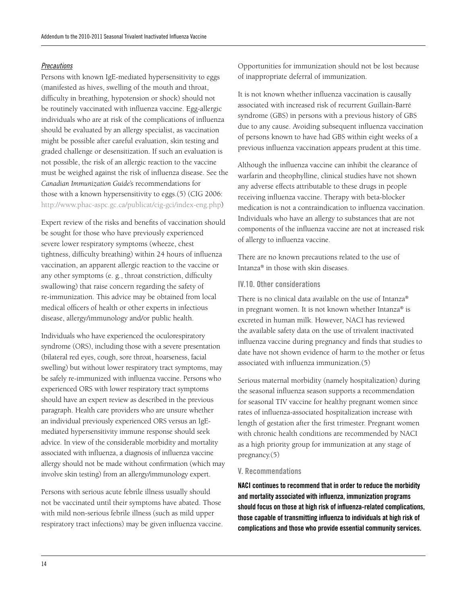#### *Precautions*

Persons with known IgE-mediated hypersensitivity to eggs (manifested as hives, swelling of the mouth and throat, difficulty in breathing, hypotension or shock) should not be routinely vaccinated with influenza vaccine. Egg-allergic individuals who are at risk of the complications of influenza should be evaluated by an allergy specialist, as vaccination might be possible after careful evaluation, skin testing and graded challenge or desensitization. If such an evaluation is not possible, the risk of an allergic reaction to the vaccine must be weighed against the risk of influenza disease. See the *Canadian Immunization Guide*'s recommendations for those with a known hypersensitivity to eggs.(5) (CIG 2006: http://www.phac-aspc.gc.ca/publicat/cig-gci/index-eng.php)

Expert review of the risks and benefits of vaccination should be sought for those who have previously experienced severe lower respiratory symptoms (wheeze, chest tightness, difficulty breathing) within 24 hours of influenza vaccination, an apparent allergic reaction to the vaccine or any other symptoms (e. g., throat constriction, difficulty swallowing) that raise concern regarding the safety of re-immunization. This advice may be obtained from local medical officers of health or other experts in infectious disease, allergy/immunology and/or public health.

Individuals who have experienced the oculorespiratory syndrome (ORS), including those with a severe presentation (bilateral red eyes, cough, sore throat, hoarseness, facial swelling) but without lower respiratory tract symptoms, may be safely re-immunized with influenza vaccine. Persons who experienced ORS with lower respiratory tract symptoms should have an expert review as described in the previous paragraph. Health care providers who are unsure whether an individual previously experienced ORS versus an IgEmediated hypersensitivity immune response should seek advice. In view of the considerable morbidity and mortality associated with influenza, a diagnosis of influenza vaccine allergy should not be made without confirmation (which may involve skin testing) from an allergy/immunology expert.

Persons with serious acute febrile illness usually should not be vaccinated until their symptoms have abated. Those with mild non-serious febrile illness (such as mild upper respiratory tract infections) may be given influenza vaccine. Opportunities for immunization should not be lost because of inappropriate deferral of immunization.

It is not known whether influenza vaccination is causally associated with increased risk of recurrent Guillain-Barré syndrome (GBS) in persons with a previous history of GBS due to any cause. Avoiding subsequent influenza vaccination of persons known to have had GBS within eight weeks of a previous influenza vaccination appears prudent at this time.

Although the influenza vaccine can inhibit the clearance of warfarin and theophylline, clinical studies have not shown any adverse effects attributable to these drugs in people receiving influenza vaccine. Therapy with beta-blocker medication is not a contraindication to influenza vaccination. Individuals who have an allergy to substances that are not components of the influenza vaccine are not at increased risk of allergy to influenza vaccine.

There are no known precautions related to the use of Intanza® in those with skin diseases.

#### IV.10. Other considerations

There is no clinical data available on the use of Intanza® in pregnant women. It is not known whether Intanza® is excreted in human milk. However, NACI has reviewed the available safety data on the use of trivalent inactivated influenza vaccine during pregnancy and finds that studies to date have not shown evidence of harm to the mother or fetus associated with influenza immunization.(5)

Serious maternal morbidity (namely hospitalization) during the seasonal influenza season supports a recommendation for seasonal TIV vaccine for healthy pregnant women since rates of influenza-associated hospitalization increase with length of gestation after the first trimester. Pregnant women with chronic health conditions are recommended by NACI as a high priority group for immunization at any stage of pregnancy.(5)

#### V. Recommendations

NACI continues to recommend that in order to reduce the morbidity and mortality associated with influenza, immunization programs should focus on those at high risk of influenza-related complications, those capable of transmitting influenza to individuals at high risk of complications and those who provide essential community services.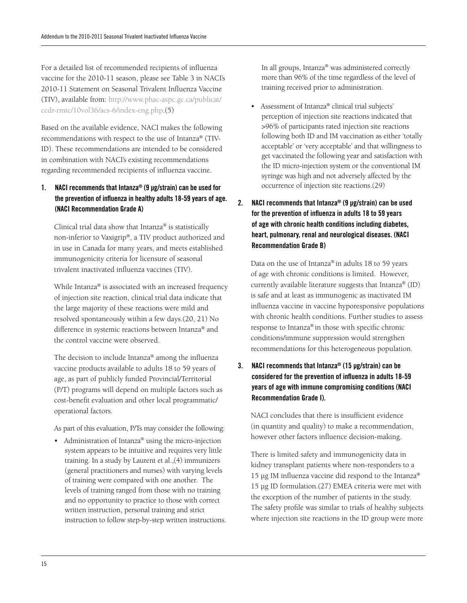For a detailed list of recommended recipients of influenza vaccine for the 2010-11 season, please see Table 3 in NACI's 2010-11 Statement on Seasonal Trivalent Influenza Vaccine (TIV), available from: http://www.phac-aspc.gc.ca/publicat/ ccdr-rmtc/10vol36/acs-6/index-eng.php.(5)

Based on the available evidence, NACI makes the following recommendations with respect to the use of Intanza® (TIV-ID). These recommendations are intended to be considered in combination with NACI's existing recommendations regarding recommended recipients of influenza vaccine.

1. NACI recommends that Intanza® (9 μg/strain) can be used for the prevention of influenza in healthy adults 18-59 years of age. (NACI Recommendation Grade A)

Clinical trial data show that Intanza® is statistically non-inferior to Vaxigrip®, a TIV product authorized and in use in Canada for many years, and meets established immunogenicity criteria for licensure of seasonal trivalent inactivated influenza vaccines (TIV).

While Intanza® is associated with an increased frequency of injection site reaction, clinical trial data indicate that the large majority of these reactions were mild and resolved spontaneously within a few days.(20, 21) No difference in systemic reactions between Intanza® and the control vaccine were observed.

The decision to include Intanza® among the influenza vaccine products available to adults 18 to 59 years of age, as part of publicly funded Provincial/Territorial (P/T) programs will depend on multiple factors such as cost-benefit evaluation and other local programmatic/ operational factors.

As part of this evaluation, P/Ts may consider the following:

• Administration of Intanza® using the micro-injection system appears to be intuitive and requires very little training. In a study by Laurent et al.,(4) immunizers (general practitioners and nurses) with varying levels of training were compared with one another. The levels of training ranged from those with no training and no opportunity to practice to those with correct written instruction, personal training and strict instruction to follow step-by-step written instructions. In all groups, Intanza® was administered correctly more than 96% of the time regardless of the level of training received prior to administration.

- Assessment of Intanza® clinical trial subjects' perception of injection site reactions indicated that >96% of participants rated injection site reactions following both ID and IM vaccination as either 'totally acceptable' or 'very acceptable' and that willingness to get vaccinated the following year and satisfaction with the ID micro-injection system or the conventional IM syringe was high and not adversely affected by the occurrence of injection site reactions.(29)
- 2. NACI recommends that Intanza® (9 µg/strain) can be used for the prevention of influenza in adults 18 to 59 years of age with chronic health conditions including diabetes, heart, pulmonary, renal and neurological diseases. (NACI Recommendation Grade B)

Data on the use of Intanza® in adults 18 to 59 years of age with chronic conditions is limited. However, currently available literature suggests that Intanza® (ID) is safe and at least as immunogenic as inactivated IM influenza vaccine in vaccine hyporesponsive populations with chronic health conditions. Further studies to assess response to Intanza® in those with specific chronic conditions/immune suppression would strengthen recommendations for this heterogeneous population.

3. NACI recommends that Intanza® (15 µg/strain) can be considered for the prevention of influenza in adults 18-59 years of age with immune compromising conditions (NACI Recommendation Grade I).

NACI concludes that there is insufficient evidence (in quantity and quality) to make a recommendation, however other factors influence decision-making.

There is limited safety and immunogenicity data in kidney transplant patients where non-responders to a 15 µg IM influenza vaccine did respond to the Intanza® 15 µg ID formulation.(27) EMEA criteria were met with the exception of the number of patients in the study. The safety profile was similar to trials of healthy subjects where injection site reactions in the ID group were more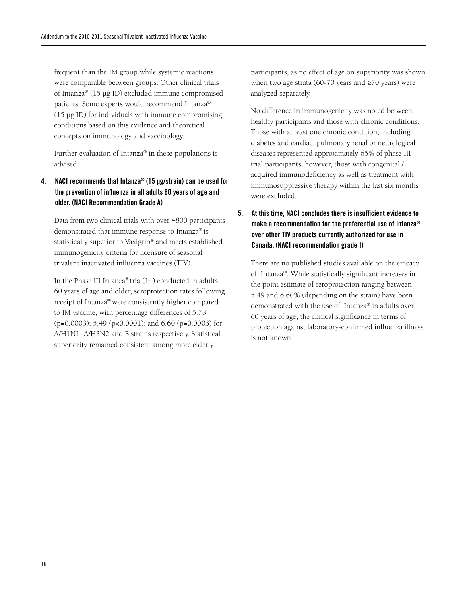frequent than the IM group while systemic reactions were comparable between groups. Other clinical trials of Intanza® (15 µg ID) excluded immune compromised patients. Some experts would recommend Intanza® (15 µg ID) for individuals with immune compromising conditions based on this evidence and theoretical concepts on immunology and vaccinology.

Further evaluation of Intanza® in these populations is advised.

4. NACI recommends that Intanza® (15 μg/strain) can be used for the prevention of influenza in all adults 60 years of age and older. (NACI Recommendation Grade A)

Data from two clinical trials with over 4800 participants demonstrated that immune response to Intanza® is statistically superior to Vaxigrip® and meets established immunogenicity criteria for licensure of seasonal trivalent inactivated influenza vaccines (TIV).

In the Phase III Intanza® trial(14) conducted in adults 60 years of age and older, seroprotection rates following receipt of Intanza® were consistently higher compared to IM vaccine, with percentage differences of 5.78  $(p=0.0003)$ ; 5.49 ( $p<0.0001$ ); and 6.60 ( $p=0.0003$ ) for A/H1N1, A/H3N2 and B strains respectively. Statistical superiority remained consistent among more elderly

participants, as no effect of age on superiority was shown when two age strata (60-70 years and ≥70 years) were analyzed separately.

No difference in immunogenicity was noted between healthy participants and those with chronic conditions. Those with at least one chronic condition, including diabetes and cardiac, pulmonary renal or neurological diseases represented approximately 65% of phase III trial participants; however, those with congenital / acquired immunodeficiency as well as treatment with immunosuppressive therapy within the last six months were excluded.

5. At this time, NACI concludes there is insufficient evidence to make a recommendation for the preferential use of Intanza® over other TIV products currently authorized for use in Canada. (NACI recommendation grade I)

There are no published studies available on the efficacy of Intanza®. While statistically significant increases in the point estimate of seroprotection ranging between 5.49 and 6.60% (depending on the strain) have been demonstrated with the use of Intanza® in adults over 60 years of age, the clinical significance in terms of protection against laboratory-confirmed influenza illness is not known.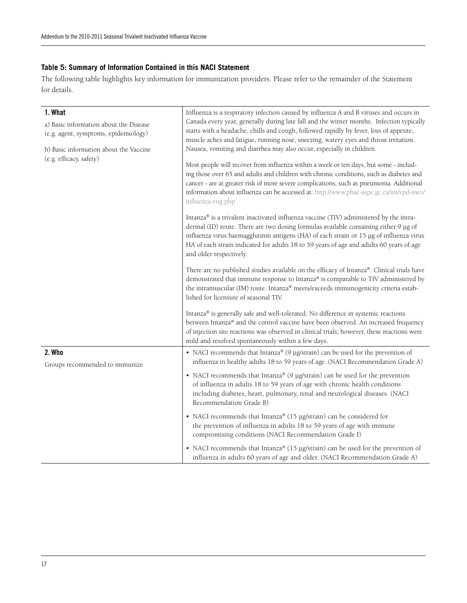#### **Table 5: Summary of Information Contained in this NACI Statement**

The following table highlights key information for immunization providers. Please refer to the remainder of the Statement for details.

| 1. What<br>a) Basic information about the Disease<br>(e.g. agent, symptoms, epidemiology)<br>b) Basic information about the Vaccine<br>(e.g. efficacy, safety) | Influenza is a respiratory infection caused by influenza A and B viruses and occurs in<br>Canada every year, generally during late fall and the winter months. Infection typically<br>starts with a headache, chills and cough, followed rapidly by fever, loss of appetite,<br>muscle aches and fatigue, running nose, sneezing, watery eyes and throat irritation.<br>Nausea, vomiting and diarrhea may also occur, especially in children.<br>Most people will recover from influenza within a week or ten days, but some - includ-<br>ing those over 65 and adults and children with chronic conditions, such as diabetes and<br>cancer - are at greater risk of more severe complications, such as pneumonia. Additional<br>information about influenza can be accessed at: http://www.phac-aspc.gc.ca/im/vpd-mev/<br>influenza-eng.php<br>Intanza® is a trivalent inactivated influenza vaccine (TIV) administered by the intra-<br>dermal (ID) route. There are two dosing formulas available containing either 9 µg of<br>influenza virus haemagglutinin antigens (HA) of each strain or 15 µg of influenza virus<br>HA of each strain indicated for adults 18 to 59 years of age and adults 60 years of age<br>and older respectively.<br>There are no published studies available on the efficacy of Intanza®. Clinical trials have<br>demonstrated that immune response to Intanza® is comparable to TIV administered by<br>the intramuscular (IM) route. Intanza® meets/exceeds immunogenicity criteria estab-<br>lished for licensure of seasonal TIV. |
|----------------------------------------------------------------------------------------------------------------------------------------------------------------|---------------------------------------------------------------------------------------------------------------------------------------------------------------------------------------------------------------------------------------------------------------------------------------------------------------------------------------------------------------------------------------------------------------------------------------------------------------------------------------------------------------------------------------------------------------------------------------------------------------------------------------------------------------------------------------------------------------------------------------------------------------------------------------------------------------------------------------------------------------------------------------------------------------------------------------------------------------------------------------------------------------------------------------------------------------------------------------------------------------------------------------------------------------------------------------------------------------------------------------------------------------------------------------------------------------------------------------------------------------------------------------------------------------------------------------------------------------------------------------------------------------------------------------------------------------------|
|                                                                                                                                                                | Intanza® is generally safe and well-tolerated. No difference in systemic reactions<br>between Intanza® and the control vaccine have been observed. An increased frequency<br>of injection site reactions was observed in clinical trials; however, these reactions were<br>mild and resolved spontaneously within a few days.                                                                                                                                                                                                                                                                                                                                                                                                                                                                                                                                                                                                                                                                                                                                                                                                                                                                                                                                                                                                                                                                                                                                                                                                                                       |
| 2. Who<br>Groups recommended to immunize                                                                                                                       | • NACI recommends that Intanza® (9 $\mu$ g/strain) can be used for the prevention of<br>influenza in healthy adults 18 to 59 years of age. (NACI Recommendation Grade A)                                                                                                                                                                                                                                                                                                                                                                                                                                                                                                                                                                                                                                                                                                                                                                                                                                                                                                                                                                                                                                                                                                                                                                                                                                                                                                                                                                                            |
|                                                                                                                                                                | • NACI recommends that Intanza® (9 µg/strain) can be used for the prevention<br>of influenza in adults 18 to 59 years of age with chronic health conditions<br>including diabetes, heart, pulmonary, renal and neurological diseases. (NACI<br>Recommendation Grade B)                                                                                                                                                                                                                                                                                                                                                                                                                                                                                                                                                                                                                                                                                                                                                                                                                                                                                                                                                                                                                                                                                                                                                                                                                                                                                              |
|                                                                                                                                                                | • NACI recommends that Intanza® (15 µg/strain) can be considered for<br>the prevention of influenza in adults 18 to 59 years of age with immune<br>compromising conditions (NACI Recommendation Grade I)                                                                                                                                                                                                                                                                                                                                                                                                                                                                                                                                                                                                                                                                                                                                                                                                                                                                                                                                                                                                                                                                                                                                                                                                                                                                                                                                                            |
|                                                                                                                                                                | • NACI recommends that Intanza® (15 µg/strain) can be used for the prevention of<br>influenza in adults 60 years of age and older. (NACI Recommendation Grade A)                                                                                                                                                                                                                                                                                                                                                                                                                                                                                                                                                                                                                                                                                                                                                                                                                                                                                                                                                                                                                                                                                                                                                                                                                                                                                                                                                                                                    |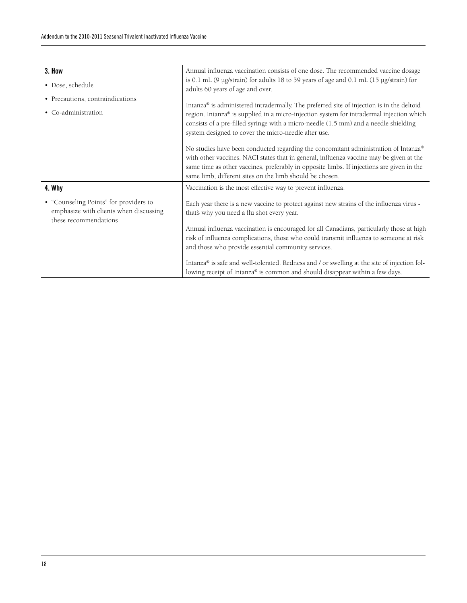| 3. How                                                                                                    | Annual influenza vaccination consists of one dose. The recommended vaccine dosage                                                                                                                                                                                                                                                       |  |  |  |  |
|-----------------------------------------------------------------------------------------------------------|-----------------------------------------------------------------------------------------------------------------------------------------------------------------------------------------------------------------------------------------------------------------------------------------------------------------------------------------|--|--|--|--|
| • Dose, schedule                                                                                          | is 0.1 mL (9 µg/strain) for adults 18 to 59 years of age and 0.1 mL (15 µg/strain) for<br>adults 60 years of age and over.                                                                                                                                                                                                              |  |  |  |  |
| • Precautions, contraindications<br>• Co-administration                                                   | Intanza® is administered intradermally. The preferred site of injection is in the deltoid<br>region. Intanza® is supplied in a micro-injection system for intradermal injection which<br>consists of a pre-filled syringe with a micro-needle (1.5 mm) and a needle shielding<br>system designed to cover the micro-needle after use.   |  |  |  |  |
|                                                                                                           | No studies have been conducted regarding the concomitant administration of Intanza®<br>with other vaccines. NACI states that in general, influenza vaccine may be given at the<br>same time as other vaccines, preferably in opposite limbs. If injections are given in the<br>same limb, different sites on the limb should be chosen. |  |  |  |  |
| 4. Why                                                                                                    | Vaccination is the most effective way to prevent influenza.                                                                                                                                                                                                                                                                             |  |  |  |  |
| • "Counseling Points" for providers to<br>emphasize with clients when discussing<br>these recommendations | Each year there is a new vaccine to protect against new strains of the influenza virus -<br>that's why you need a flu shot every year.                                                                                                                                                                                                  |  |  |  |  |
|                                                                                                           | Annual influenza vaccination is encouraged for all Canadians, particularly those at high<br>risk of influenza complications, those who could transmit influenza to someone at risk<br>and those who provide essential community services.                                                                                               |  |  |  |  |
|                                                                                                           | Intanza® is safe and well-tolerated. Redness and / or swelling at the site of injection fol-<br>lowing receipt of Intanza® is common and should disappear within a few days.                                                                                                                                                            |  |  |  |  |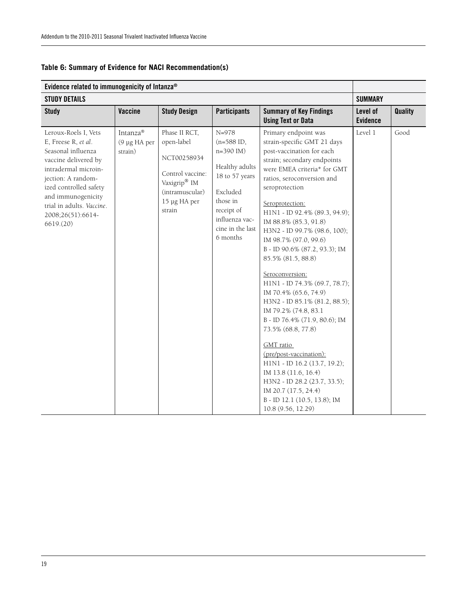| Evidence related to immunogenicity of Intanza®                                                                                                                                                                                                        |                                     |                                                                                                                                         |                                                                                                                                                                              |                                                                                                                                                                                                                                                                                                                                                                                                                                                                                                                                                                                                                                                                                                                                                                                                         |                             |                |
|-------------------------------------------------------------------------------------------------------------------------------------------------------------------------------------------------------------------------------------------------------|-------------------------------------|-----------------------------------------------------------------------------------------------------------------------------------------|------------------------------------------------------------------------------------------------------------------------------------------------------------------------------|---------------------------------------------------------------------------------------------------------------------------------------------------------------------------------------------------------------------------------------------------------------------------------------------------------------------------------------------------------------------------------------------------------------------------------------------------------------------------------------------------------------------------------------------------------------------------------------------------------------------------------------------------------------------------------------------------------------------------------------------------------------------------------------------------------|-----------------------------|----------------|
| <b>STUDY DETAILS</b>                                                                                                                                                                                                                                  |                                     |                                                                                                                                         |                                                                                                                                                                              |                                                                                                                                                                                                                                                                                                                                                                                                                                                                                                                                                                                                                                                                                                                                                                                                         | <b>SUMMARY</b>              |                |
| <b>Study</b>                                                                                                                                                                                                                                          | <b>Vaccine</b>                      | <b>Study Design</b>                                                                                                                     | <b>Participants</b>                                                                                                                                                          | <b>Summary of Key Findings</b><br><b>Using Text or Data</b>                                                                                                                                                                                                                                                                                                                                                                                                                                                                                                                                                                                                                                                                                                                                             | Level of<br><b>Evidence</b> | <b>Quality</b> |
| Leroux-Roels I, Vets<br>E, Freese R, et al.<br>Seasonal influenza<br>vaccine delivered by<br>intradermal microin-<br>jection: A random-<br>ized controlled safety<br>and immunogenicity<br>trial in adults. Vaccine.<br>2008;26(51):6614-<br>6619(20) | Intanza®<br>(9 µg HA per<br>strain) | Phase II RCT,<br>open-label<br>NCT00258934<br>Control vaccine:<br>Vaxigrip <sup>®</sup> IM<br>(intramuscular)<br>15 µg HA per<br>strain | $N = 978$<br>$(n=588 \text{ ID},$<br>$n=390$ IM)<br>Healthy adults<br>18 to 57 years<br>Excluded<br>those in<br>receipt of<br>influenza vac-<br>cine in the last<br>6 months | Primary endpoint was<br>strain-specific GMT 21 days<br>post-vaccination for each<br>strain; secondary endpoints<br>were EMEA criteria* for GMT<br>ratios, seroconversion and<br>seroprotection<br>Seroprotection:<br>H1N1 - ID 92.4% (89.3, 94.9);<br>IM 88.8% (85.3, 91.8)<br>H3N2 - ID 99.7% (98.6, 100);<br>IM 98.7% (97.0, 99.6)<br>B - ID 90.6% (87.2, 93.3); IM<br>85.5% (81.5, 88.8)<br>Seroconversion:<br>H1N1 - ID 74.3% (69.7, 78.7);<br>IM 70.4% (65.6, 74.9)<br>H3N2 - ID 85.1% (81.2, 88.5);<br>IM 79.2% (74.8, 83.1)<br>B - ID 76.4% (71.9, 80.6); IM<br>73.5% (68.8, 77.8)<br>GMT ratio<br>(pre/post-vaccination):<br>H1N1 - ID 16.2 (13.7, 19.2);<br>IM 13.8 (11.6, 16.4)<br>H3N2 - ID 28.2 (23.7, 33.5);<br>IM 20.7 (17.5, 24.4)<br>B - ID 12.1 (10.5, 13.8); IM<br>10.8 (9.56, 12.29) | Level 1                     | Good           |

### **Table 6: Summary of Evidence for NACI Recommendation(s)**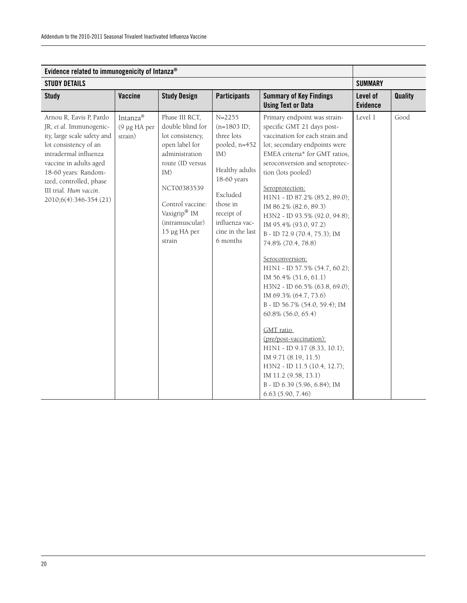| Evidence related to immunogenicity of Intanza®                                                                                                                                                                                                                       |                                     |                                                                                                                                                                                                                       |                                                                                                                                                                                            |                                                                                                                                                                                                                                                                                                                                                                                                                                                                                                                                                                                                                                                                                                                                                                                                                                 |                             |                |
|----------------------------------------------------------------------------------------------------------------------------------------------------------------------------------------------------------------------------------------------------------------------|-------------------------------------|-----------------------------------------------------------------------------------------------------------------------------------------------------------------------------------------------------------------------|--------------------------------------------------------------------------------------------------------------------------------------------------------------------------------------------|---------------------------------------------------------------------------------------------------------------------------------------------------------------------------------------------------------------------------------------------------------------------------------------------------------------------------------------------------------------------------------------------------------------------------------------------------------------------------------------------------------------------------------------------------------------------------------------------------------------------------------------------------------------------------------------------------------------------------------------------------------------------------------------------------------------------------------|-----------------------------|----------------|
| <b>STUDY DETAILS</b>                                                                                                                                                                                                                                                 |                                     |                                                                                                                                                                                                                       |                                                                                                                                                                                            |                                                                                                                                                                                                                                                                                                                                                                                                                                                                                                                                                                                                                                                                                                                                                                                                                                 | <b>SUMMARY</b>              |                |
| <b>Study</b>                                                                                                                                                                                                                                                         | Vaccine                             | <b>Study Design</b>                                                                                                                                                                                                   | <b>Participants</b>                                                                                                                                                                        | <b>Summary of Key Findings</b><br><b>Using Text or Data</b>                                                                                                                                                                                                                                                                                                                                                                                                                                                                                                                                                                                                                                                                                                                                                                     | Level of<br><b>Evidence</b> | <b>Quality</b> |
| Arnou R, Eavis P, Pardo<br>JR, et al. Immunogenic-<br>ity, large scale safety and<br>lot consistency of an<br>intradermal influenza<br>vaccine in adults aged<br>18-60 years: Random-<br>ized, controlled, phase<br>III trial. Hum vaccin.<br>2010;6(4):346-354.(21) | Intanza®<br>(9 µg HA per<br>strain) | Phase III RCT,<br>double blind for<br>lot consistency,<br>open label for<br>administration<br>route (ID versus<br>IM)<br>NCT00383539<br>Control vaccine:<br>Vaxigrip® IM<br>(intramuscular)<br>15 µg HA per<br>strain | $N = 2255$<br>$(n=1803$ ID;<br>three lots<br>pooled, n=452<br>IM)<br>Healthy adults<br>18-60 years<br>Excluded<br>those in<br>receipt of<br>influenza vac-<br>cine in the last<br>6 months | Primary endpoint was strain-<br>specific GMT 21 days post-<br>vaccination for each strain and<br>lot; secondary endpoints were<br>EMEA criteria* for GMT ratios,<br>seroconversion and seroprotec-<br>tion (lots pooled)<br>Seroprotection:<br>H1N1 - ID 87.2% (85.2, 89.0);<br>IM 86.2% (82.6, 89.3)<br>H3N2 - ID 93.5% (92.0, 94.8);<br>IM 95.4% (93.0, 97.2)<br>B - ID 72.9 (70.4, 75.3); IM<br>74.8% (70.4, 78.8)<br>Seroconversion:<br>H1N1 - ID 57.5% (54.7, 60.2);<br>IM 56.4% (51.6, 61.1)<br>H3N2 - ID 66.5% (63.8, 69.0);<br>IM 69.3% (64.7, 73.6)<br>B - ID 56.7% (54.0, 59.4); IM<br>60.8% (56.0, 65.4)<br>GMT ratio<br>(pre/post-vaccination):<br>H1N1 - ID 9.17 (8.33, 10.1);<br>IM 9.71 (8.19, 11.5)<br>H3N2 - ID 11.5 (10.4, 12.7);<br>IM 11.2 (9.58, 13.1)<br>B - ID 6.39 (5.96, 6.84); IM<br>6.63(5.90, 7.46) | Level 1                     | Good           |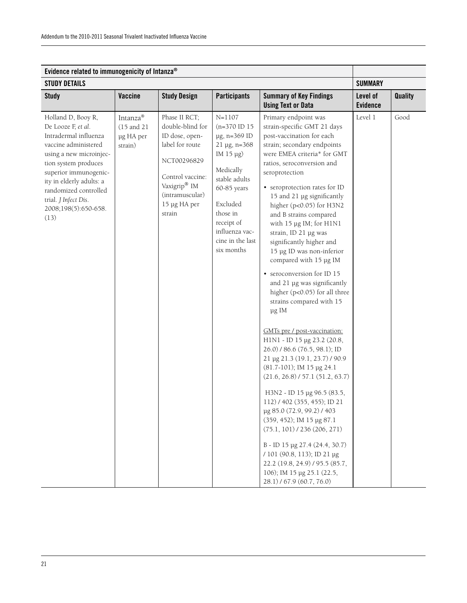| Evidence related to immunogenicity of Intanza®                                                                                                                                                                                                                                     |                                                |                                                                                                                                                                                    |                                                                                                                                                                                                                        |                                                                                                                                                                                                                                                                                                                                                                                                                                                                                                                                                                                                                                                                                                                                                                                                                                                                                                                                                                                                                                                                                                                            |                             |         |
|------------------------------------------------------------------------------------------------------------------------------------------------------------------------------------------------------------------------------------------------------------------------------------|------------------------------------------------|------------------------------------------------------------------------------------------------------------------------------------------------------------------------------------|------------------------------------------------------------------------------------------------------------------------------------------------------------------------------------------------------------------------|----------------------------------------------------------------------------------------------------------------------------------------------------------------------------------------------------------------------------------------------------------------------------------------------------------------------------------------------------------------------------------------------------------------------------------------------------------------------------------------------------------------------------------------------------------------------------------------------------------------------------------------------------------------------------------------------------------------------------------------------------------------------------------------------------------------------------------------------------------------------------------------------------------------------------------------------------------------------------------------------------------------------------------------------------------------------------------------------------------------------------|-----------------------------|---------|
| <b>STUDY DETAILS</b>                                                                                                                                                                                                                                                               |                                                |                                                                                                                                                                                    |                                                                                                                                                                                                                        |                                                                                                                                                                                                                                                                                                                                                                                                                                                                                                                                                                                                                                                                                                                                                                                                                                                                                                                                                                                                                                                                                                                            |                             |         |
| <b>Study</b>                                                                                                                                                                                                                                                                       | Vaccine                                        | <b>Study Design</b>                                                                                                                                                                | <b>Participants</b>                                                                                                                                                                                                    | <b>Summary of Key Findings</b><br><b>Using Text or Data</b>                                                                                                                                                                                                                                                                                                                                                                                                                                                                                                                                                                                                                                                                                                                                                                                                                                                                                                                                                                                                                                                                | Level of<br><b>Evidence</b> | Quality |
| Holland D, Booy R,<br>De Looze F, et al.<br>Intradermal influenza<br>vaccine administered<br>using a new microinjec-<br>tion system produces<br>superior immunogenic-<br>ity in elderly adults: a<br>randomized controlled<br>trial. J Infect Dis.<br>2008;198(5):650-658.<br>(13) | Intanza®<br>(15 and 21<br>µg HA per<br>strain) | Phase II RCT;<br>double-blind for<br>ID dose, open-<br>label for route<br>NCT00296829<br>Control vaccine:<br>Vaxigrip <sup>®</sup> IM<br>(intramuscular)<br>15 µg HA per<br>strain | $N = 1107$<br>$(n=370$ ID 15<br>µg, n=369 ID<br>$21 \mu g$ , n=368<br>IM 15 μg)<br>Medically<br>stable adults<br>60-85 years<br>Excluded<br>those in<br>receipt of<br>influenza vac-<br>cine in the last<br>six months | Primary endpoint was<br>strain-specific GMT 21 days<br>post-vaccination for each<br>strain; secondary endpoints<br>were EMEA criteria* for GMT<br>ratios, seroconversion and<br>seroprotection<br>• seroprotection rates for ID<br>15 and 21 µg significantly<br>higher (p<0.05) for H3N2<br>and B strains compared<br>with 15 µg IM; for H1N1<br>strain, ID 21 µg was<br>significantly higher and<br>15 µg ID was non-inferior<br>compared with 15 µg IM<br>• seroconversion for ID 15<br>and 21 µg was significantly<br>higher (p<0.05) for all three<br>strains compared with 15<br>μg IM<br>GMTs pre / post-vaccination:<br>H1N1 - ID 15 µg 23.2 (20.8,<br>26.0) / 86.6 (76.5, 98.1); ID<br>21 µg 21.3 (19.1, 23.7) / 90.9<br>(81.7-101); IM 15 µg 24.1<br>(21.6, 26.8) / 57.1 (51.2, 63.7)<br>H3N2 - ID 15 µg 96.5 (83.5,<br>112) / 402 (355, 455); ID 21<br>µg 85.0 (72.9, 99.2) / 403<br>(359, 452); IM 15 µg 87.1<br>$(75.1, 101)$ / 236 (206, 271)<br>B - ID 15 µg 27.4 (24.4, 30.7)<br>/ 101 (90.8, 113); ID 21 µg<br>22.2 (19.8, 24.9) / 95.5 (85.7,<br>106); IM 15 µg 25.1 (22.5,<br>28.1) / 67.9 (60.7, 76.0) | Level 1                     | Good    |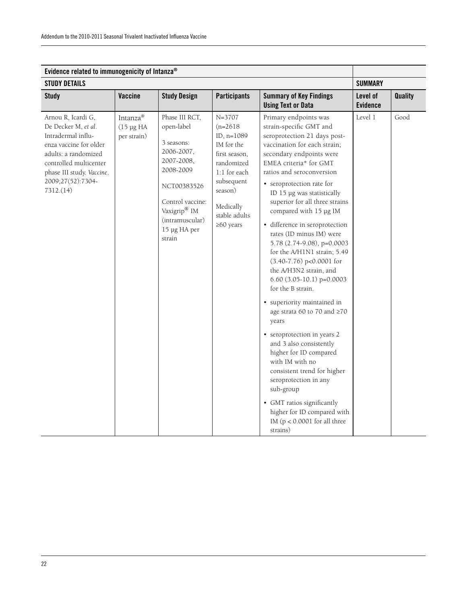| Evidence related to immunogenicity of Intanza®                                                                                                                                                             |                                            |                                                                                                                                                                                                 |                                                                                                                                                                               |                                                                                                                                                                                                                                                                                                                                                                                                                                                                                                                                                                                                                                                                                                                                                                                                                                                                                                                                          |                             |                |
|------------------------------------------------------------------------------------------------------------------------------------------------------------------------------------------------------------|--------------------------------------------|-------------------------------------------------------------------------------------------------------------------------------------------------------------------------------------------------|-------------------------------------------------------------------------------------------------------------------------------------------------------------------------------|------------------------------------------------------------------------------------------------------------------------------------------------------------------------------------------------------------------------------------------------------------------------------------------------------------------------------------------------------------------------------------------------------------------------------------------------------------------------------------------------------------------------------------------------------------------------------------------------------------------------------------------------------------------------------------------------------------------------------------------------------------------------------------------------------------------------------------------------------------------------------------------------------------------------------------------|-----------------------------|----------------|
| <b>STUDY DETAILS</b>                                                                                                                                                                                       |                                            |                                                                                                                                                                                                 |                                                                                                                                                                               |                                                                                                                                                                                                                                                                                                                                                                                                                                                                                                                                                                                                                                                                                                                                                                                                                                                                                                                                          |                             |                |
| <b>Study</b>                                                                                                                                                                                               | <b>Vaccine</b>                             | <b>Study Design</b>                                                                                                                                                                             | <b>Participants</b>                                                                                                                                                           | <b>Summary of Key Findings</b><br><b>Using Text or Data</b>                                                                                                                                                                                                                                                                                                                                                                                                                                                                                                                                                                                                                                                                                                                                                                                                                                                                              | Level of<br><b>Evidence</b> | <b>Quality</b> |
| Arnou R, Icardi G,<br>De Decker M, et al.<br>Intradermal influ-<br>enza vaccine for older<br>adults: a randomized<br>controlled multicenter<br>phase III study. Vaccine.<br>2009;27(52):7304-<br>7312.(14) | Intanza®<br>$(15 \mu g HA)$<br>per strain) | Phase III RCT,<br>open-label<br>3 seasons:<br>2006-2007,<br>2007-2008,<br>2008-2009<br>NCT00383526<br>Control vaccine:<br>Vaxigrip <sup>®</sup> IM<br>(intramuscular)<br>15 µg HA per<br>strain | $N = 3707$<br>$(n=2618)$<br>ID, n=1089<br>IM for the<br>first season,<br>randomized<br>1:1 for each<br>subsequent<br>season)<br>Medically<br>stable adults<br>$\geq 60$ years | Primary endpoints was<br>strain-specific GMT and<br>seroprotection 21 days post-<br>vaccination for each strain;<br>secondary endpoints were<br>EMEA criteria* for GMT<br>ratios and seroconversion<br>• seroprotection rate for<br>ID 15 µg was statistically<br>superior for all three strains<br>compared with 15 µg IM<br>• difference in seroprotection<br>rates (ID minus IM) were<br>5.78 (2.74-9.08), p=0.0003<br>for the A/H1N1 strain; 5.49<br>$(3.40-7.76)$ p<0.0001 for<br>the A/H3N2 strain, and<br>$6.60$ $(3.05-10.1)$ p=0.0003<br>for the B strain.<br>• superiority maintained in<br>age strata 60 to 70 and $\geq 70$<br>years<br>• seroprotection in years 2<br>and 3 also consistently<br>higher for ID compared<br>with IM with no<br>consistent trend for higher<br>seroprotection in any<br>sub-group<br>• GMT ratios significantly<br>higher for ID compared with<br>IM ( $p < 0.0001$ for all three<br>strains) | Level 1                     | Good           |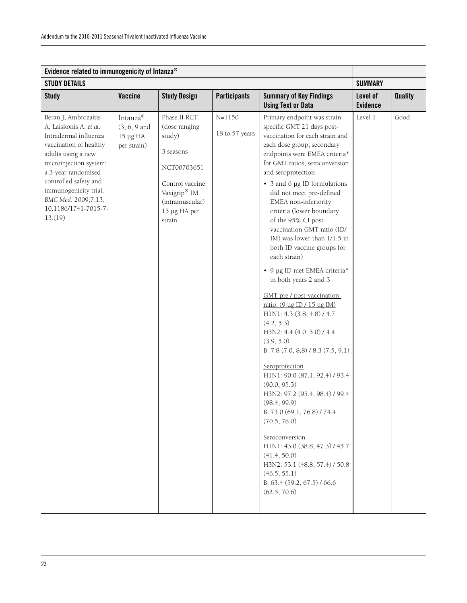| Evidence related to immunogenicity of Intanza®                                                                                                                                                                                                                                       |                                                       |                                                                                                                                                      |                              |                                                                                                                                                                                                                                                                                                                                                                                                                                                                                                                                                                                                                                                                                                                                                                                                                                                                                                                                                                                                                                                                              |                             |                |
|--------------------------------------------------------------------------------------------------------------------------------------------------------------------------------------------------------------------------------------------------------------------------------------|-------------------------------------------------------|------------------------------------------------------------------------------------------------------------------------------------------------------|------------------------------|------------------------------------------------------------------------------------------------------------------------------------------------------------------------------------------------------------------------------------------------------------------------------------------------------------------------------------------------------------------------------------------------------------------------------------------------------------------------------------------------------------------------------------------------------------------------------------------------------------------------------------------------------------------------------------------------------------------------------------------------------------------------------------------------------------------------------------------------------------------------------------------------------------------------------------------------------------------------------------------------------------------------------------------------------------------------------|-----------------------------|----------------|
| <b>STUDY DETAILS</b>                                                                                                                                                                                                                                                                 |                                                       |                                                                                                                                                      |                              |                                                                                                                                                                                                                                                                                                                                                                                                                                                                                                                                                                                                                                                                                                                                                                                                                                                                                                                                                                                                                                                                              | <b>SUMMARY</b>              |                |
| <b>Study</b>                                                                                                                                                                                                                                                                         | Vaccine                                               | <b>Study Design</b>                                                                                                                                  | <b>Participants</b>          | <b>Summary of Key Findings</b><br><b>Using Text or Data</b>                                                                                                                                                                                                                                                                                                                                                                                                                                                                                                                                                                                                                                                                                                                                                                                                                                                                                                                                                                                                                  | Level of<br><b>Evidence</b> | <b>Quality</b> |
| Beran J, Ambrozaitis<br>A, Laiskonis A, et al.<br>Intradermal influenza<br>vaccination of healthy<br>adults using a new<br>microinjection system:<br>a 3-year randomised<br>controlled safety and<br>immunogenicity trial.<br>BMC Med. 2009;7:13.<br>10.1186/1741-7015-7-<br>13.(19) | Intanza®<br>(3, 6, 9, and)<br>15 µg HA<br>per strain) | Phase II RCT<br>(dose ranging<br>study)<br>3 seasons<br>NCT00703651<br>Control vaccine:<br>Vaxigrip® IM<br>(intramuscular)<br>15 µg HA per<br>strain | $N = 1150$<br>18 to 57 years | Primary endpoint was strain-<br>specific GMT 21 days post-<br>vaccination for each strain and<br>each dose group; secondary<br>endpoints were EMEA criteria*<br>for GMT ratios, seroconversion<br>and seroprotection<br>• 3 and 6 µg ID formulations<br>did not meet pre-defined<br>EMEA non-inferiority<br>criteria (lower boundary<br>of the 95% CI post-<br>vaccination GMT ratio (ID/<br>IM) was lower than 1/1.5 in<br>both ID vaccine groups for<br>each strain)<br>• 9 µg ID met EMEA criteria*<br>in both years 2 and 3<br>GMT pre / post-vaccination<br>ratio: (9 µg ID / 15 µg IM)<br>H1N1: 4.3 (3.8, 4.8) / 4.7<br>(4.2, 5.3)<br>H3N2: 4.4 (4.0, 5.0) / 4.4<br>(3.9, 5.0)<br>B: $7.8$ $(7.0, 8.8)$ / $8.3$ $(7.5, 9.1)$<br>Seroprotection<br>H1N1: 90.0 (87.1, 92.4) / 93.4<br>(90.0, 95.3)<br>H3N2: 97.2 (95.4, 98.4) / 99.4<br>(98.4, 99.9)<br>B: 73.0 (69.1, 76.8) / 74.4<br>(70.5, 78.0)<br>Seroconversion<br>H1N1: 43.0 (38.8, 47.3) / 45.7<br>(41.4, 50.0)<br>H3N2: 53.1 (48.8, 57.4) / 50.8<br>(46.5, 55.1)<br>B: 63.4 (59.2, 67.5) / 66.6<br>(62.5, 70.6) | Level 1                     | Good           |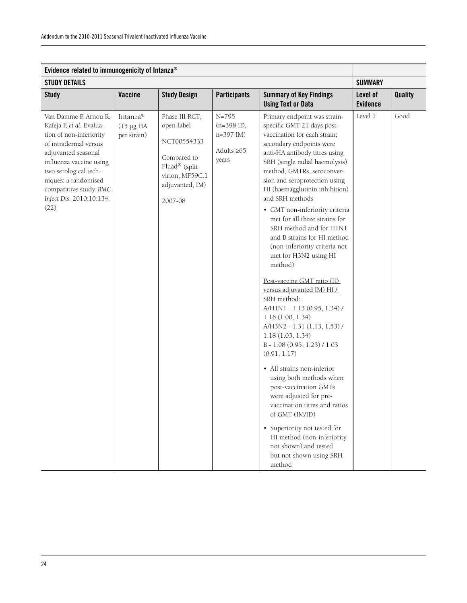| Evidence related to immunogenicity of Intanza®                                                                                                                                                                                                                         |                                            |                                                                                                                              |                                                                       |                                                                                                                                                                                                                                                                                                                                                                                                                                                                                                                                                                                                                                                                                                                                                                                                                                                                                                                                                                                                                                             |                             |                |
|------------------------------------------------------------------------------------------------------------------------------------------------------------------------------------------------------------------------------------------------------------------------|--------------------------------------------|------------------------------------------------------------------------------------------------------------------------------|-----------------------------------------------------------------------|---------------------------------------------------------------------------------------------------------------------------------------------------------------------------------------------------------------------------------------------------------------------------------------------------------------------------------------------------------------------------------------------------------------------------------------------------------------------------------------------------------------------------------------------------------------------------------------------------------------------------------------------------------------------------------------------------------------------------------------------------------------------------------------------------------------------------------------------------------------------------------------------------------------------------------------------------------------------------------------------------------------------------------------------|-----------------------------|----------------|
| <b>STUDY DETAILS</b>                                                                                                                                                                                                                                                   |                                            |                                                                                                                              |                                                                       |                                                                                                                                                                                                                                                                                                                                                                                                                                                                                                                                                                                                                                                                                                                                                                                                                                                                                                                                                                                                                                             | <b>SUMMARY</b>              |                |
| <b>Study</b>                                                                                                                                                                                                                                                           | Vaccine                                    | <b>Study Design</b>                                                                                                          | <b>Participants</b>                                                   | <b>Summary of Key Findings</b><br><b>Using Text or Data</b>                                                                                                                                                                                                                                                                                                                                                                                                                                                                                                                                                                                                                                                                                                                                                                                                                                                                                                                                                                                 | Level of<br><b>Evidence</b> | <b>Quality</b> |
| Van Damme P, Arnou R,<br>Kafeja F, et al. Evalua-<br>tion of non-inferiority<br>of intradermal versus<br>adjuvanted seasonal<br>influenza vaccine using<br>two serological tech-<br>niques: a randomised<br>comparative study. BMC<br>Infect Dis. 2010;10:134.<br>(22) | Intanza®<br>$(15 \mu g HA)$<br>per strain) | Phase III RCT,<br>open-label<br>NCT00554333<br>Compared to<br>Fluad® (split<br>virion, MF59C.1<br>adjuvanted, IM)<br>2007-08 | $N = 795$<br>$(n=398$ ID,<br>$n=397$ IM)<br>Adults $\geq 65$<br>years | Primary endpoint was strain-<br>specific GMT 21 days post-<br>vaccination for each strain;<br>secondary endpoints were<br>anti-HA antibody titres using<br>SRH (single radial haemolysis)<br>method, GMTRs, seroconver-<br>sion and seroprotection using<br>HI (haemagglutinin inhibition)<br>and SRH methods<br>• GMT non-inferiority criteria<br>met for all three strains for<br>SRH method and for H1N1<br>and B strains for HI method<br>(non-inferiority criteria not<br>met for H3N2 using HI<br>method)<br>Post-vaccine GMT ratio (ID<br>versus adjuvanted IM) HI /<br>SRH method:<br>A/H1N1 - 1.13 (0.95, 1.34) /<br>1.16(1.00, 1.34)<br>A/H3N2 - 1.31 (1.13, 1.53) /<br>1.18(1.03, 1.34)<br>B-1.08 (0.95, 1.23) / 1.03<br>(0.91, 1.17)<br>• All strains non-inferior<br>using both methods when<br>post-vaccination GMTs<br>were adjusted for pre-<br>vaccination titres and ratios<br>of GMT (IM/ID)<br>• Superiority not tested for<br>HI method (non-inferiority<br>not shown) and tested<br>but not shown using SRH<br>method | Level 1                     | Good           |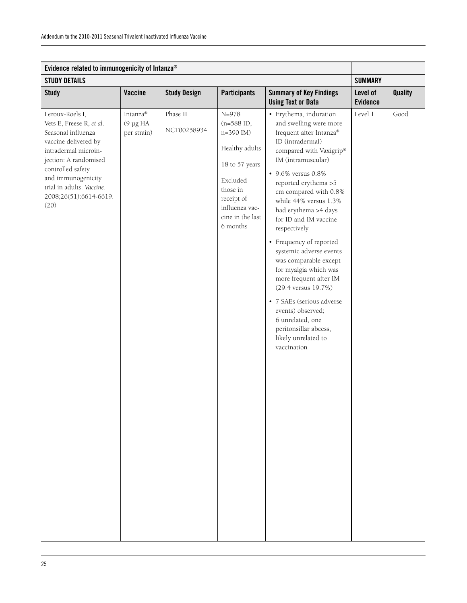| Evidence related to immunogenicity of Intanza®                                                                                                                                                                                                       |                                                          |                         |                                                                                                                                                                  |                                                                                                                                                                                                                                                                                                                                                                                                                                                                                                                                                                                                                 |                             |                |
|------------------------------------------------------------------------------------------------------------------------------------------------------------------------------------------------------------------------------------------------------|----------------------------------------------------------|-------------------------|------------------------------------------------------------------------------------------------------------------------------------------------------------------|-----------------------------------------------------------------------------------------------------------------------------------------------------------------------------------------------------------------------------------------------------------------------------------------------------------------------------------------------------------------------------------------------------------------------------------------------------------------------------------------------------------------------------------------------------------------------------------------------------------------|-----------------------------|----------------|
| <b>STUDY DETAILS</b>                                                                                                                                                                                                                                 |                                                          |                         |                                                                                                                                                                  |                                                                                                                                                                                                                                                                                                                                                                                                                                                                                                                                                                                                                 | <b>SUMMARY</b>              |                |
| <b>Study</b>                                                                                                                                                                                                                                         | Vaccine                                                  | <b>Study Design</b>     | <b>Participants</b>                                                                                                                                              | <b>Summary of Key Findings</b><br><b>Using Text or Data</b>                                                                                                                                                                                                                                                                                                                                                                                                                                                                                                                                                     | Level of<br><b>Evidence</b> | <b>Quality</b> |
| Leroux-Roels I,<br>Vets E, Freese R, et al.<br>Seasonal influenza<br>vaccine delivered by<br>intradermal microin-<br>jection: A randomised<br>controlled safety<br>and immunogenicity<br>trial in adults. Vaccine.<br>2008;26(51):6614-6619.<br>(20) | $Intanza^{\circledast}$<br>$(9 \mu g HA)$<br>per strain) | Phase II<br>NCT00258934 | $N = 978$<br>(n=588 ID,<br>n=390 IM)<br>Healthy adults<br>18 to 57 years<br>Excluded<br>those in<br>receipt of<br>influenza vac-<br>cine in the last<br>6 months | · Erythema, induration<br>and swelling were more<br>frequent after Intanza®<br>ID (intradermal)<br>compared with Vaxigrip®<br>IM (intramuscular)<br>• 9.6% versus 0.8%<br>reported erythema >5<br>cm compared with 0.8%<br>while 44% versus 1.3%<br>had erythema >4 days<br>for ID and IM vaccine<br>respectively<br>• Frequency of reported<br>systemic adverse events<br>was comparable except<br>for myalgia which was<br>more frequent after IM<br>(29.4 versus 19.7%)<br>• 7 SAEs (serious adverse<br>events) observed;<br>6 unrelated, one<br>peritonsillar abcess,<br>likely unrelated to<br>vaccination | Level 1                     | Good           |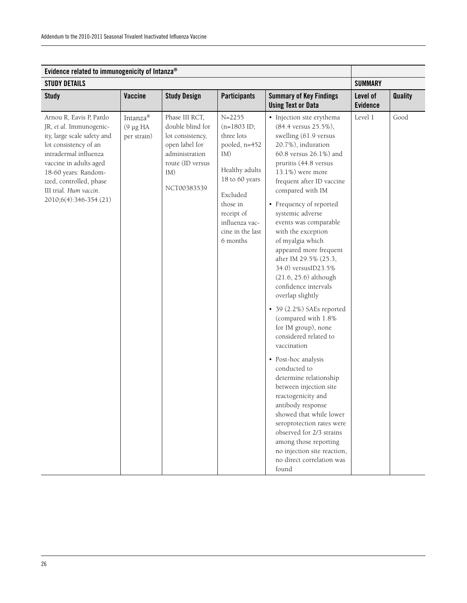|                                                                                                                                                                                                                                                                      |                                           | Evidence related to immunogenicity of Intanza®                                                                                       |                                                                                                                                                                                               |                                                                                                                                                                                                                                                                                                                                                                                                                                                                                                                                                                                                                                                                                                                                                                                                                                                                                                                                                |                             |                |  |
|----------------------------------------------------------------------------------------------------------------------------------------------------------------------------------------------------------------------------------------------------------------------|-------------------------------------------|--------------------------------------------------------------------------------------------------------------------------------------|-----------------------------------------------------------------------------------------------------------------------------------------------------------------------------------------------|------------------------------------------------------------------------------------------------------------------------------------------------------------------------------------------------------------------------------------------------------------------------------------------------------------------------------------------------------------------------------------------------------------------------------------------------------------------------------------------------------------------------------------------------------------------------------------------------------------------------------------------------------------------------------------------------------------------------------------------------------------------------------------------------------------------------------------------------------------------------------------------------------------------------------------------------|-----------------------------|----------------|--|
| <b>STUDY DETAILS</b>                                                                                                                                                                                                                                                 |                                           |                                                                                                                                      |                                                                                                                                                                                               |                                                                                                                                                                                                                                                                                                                                                                                                                                                                                                                                                                                                                                                                                                                                                                                                                                                                                                                                                | <b>SUMMARY</b>              |                |  |
| <b>Study</b>                                                                                                                                                                                                                                                         | <b>Vaccine</b>                            | <b>Study Design</b>                                                                                                                  | <b>Participants</b>                                                                                                                                                                           | <b>Summary of Key Findings</b><br><b>Using Text or Data</b>                                                                                                                                                                                                                                                                                                                                                                                                                                                                                                                                                                                                                                                                                                                                                                                                                                                                                    | Level of<br><b>Evidence</b> | <b>Quality</b> |  |
| Arnou R, Eavis P, Pardo<br>JR, et al. Immunogenic-<br>ity, large scale safety and<br>lot consistency of an<br>intradermal influenza<br>vaccine in adults aged<br>18-60 years: Random-<br>ized, controlled, phase<br>III trial. Hum vaccin.<br>2010;6(4):346-354.(21) | Intanza®<br>$(9 \mu g HA)$<br>per strain) | Phase III RCT,<br>double blind for<br>lot consistency,<br>open label for<br>administration<br>route (ID versus<br>IM)<br>NCT00383539 | $N = 2255$<br>$(n=1803$ ID;<br>three lots<br>pooled, n=452<br>IM)<br>Healthy adults<br>18 to 60 years<br>Excluded<br>those in<br>receipt of<br>influenza vac-<br>cine in the last<br>6 months | • Injection site erythema<br>(84.4 versus 25.5%),<br>swelling (61.9 versus<br>20.7%), induration<br>60.8 versus 26.1%) and<br>pruritis (44.8 versus<br>13.1%) were more<br>frequent after ID vaccine<br>compared with IM<br>• Frequency of reported<br>systemic adverse<br>events was comparable<br>with the exception<br>of myalgia which<br>appeared more frequent<br>after IM 29.5% (25.3,<br>34.0) versusID23.5%<br>$(21.6, 25.6)$ although<br>confidence intervals<br>overlap slightly<br>$\bullet$ 39 (2.2%) SAEs reported<br>(compared with 1.8%<br>for IM group), none<br>considered related to<br>vaccination<br>• Post-hoc analysis<br>conducted to<br>determine relationship<br>between injection site<br>reactogenicity and<br>antibody response<br>showed that while lower<br>seroprotection rates were<br>observed for 2/3 strains<br>among those reporting<br>no injection site reaction,<br>no direct correlation was<br>found | Level 1                     | Good           |  |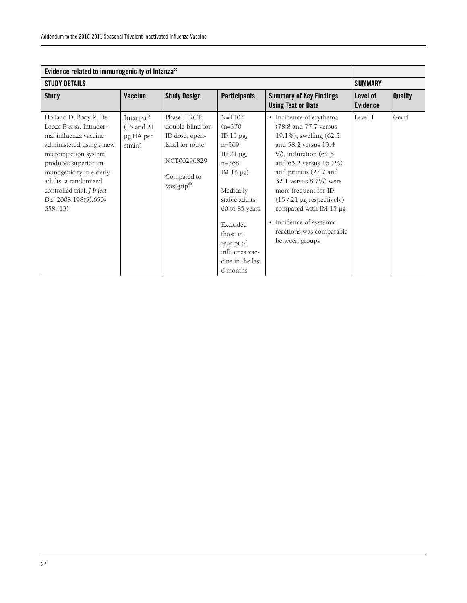| Evidence related to immunogenicity of Intanza <sup>®</sup>                                                                                                                                                                                                                             |                                                             |                                                                                                                   |                                                                                                                                                                                                                                                    |                                                                                                                                                                                                                                                                                                                                                                               |                             |                |
|----------------------------------------------------------------------------------------------------------------------------------------------------------------------------------------------------------------------------------------------------------------------------------------|-------------------------------------------------------------|-------------------------------------------------------------------------------------------------------------------|----------------------------------------------------------------------------------------------------------------------------------------------------------------------------------------------------------------------------------------------------|-------------------------------------------------------------------------------------------------------------------------------------------------------------------------------------------------------------------------------------------------------------------------------------------------------------------------------------------------------------------------------|-----------------------------|----------------|
| <b>STUDY DETAILS</b>                                                                                                                                                                                                                                                                   |                                                             |                                                                                                                   |                                                                                                                                                                                                                                                    |                                                                                                                                                                                                                                                                                                                                                                               | <b>SUMMARY</b>              |                |
| <b>Study</b>                                                                                                                                                                                                                                                                           | Vaccine                                                     | <b>Study Design</b>                                                                                               | <b>Participants</b>                                                                                                                                                                                                                                | <b>Summary of Key Findings</b><br><b>Using Text or Data</b>                                                                                                                                                                                                                                                                                                                   | Level of<br><b>Evidence</b> | <b>Quality</b> |
| Holland D, Booy R, De<br>Looze F, et al. Intrader-<br>mal influenza vaccine<br>administered using a new<br>microinjection system<br>produces superior im-<br>munogenicity in elderly<br>adults: a randomized<br>controlled trial. <i>J Infect</i><br>Dis. 2008;198(5):650-<br>658.(13) | Intanza <sup>®</sup><br>(15 and 21)<br>µg HA per<br>strain) | Phase II RCT;<br>double-blind for<br>ID dose, open-<br>label for route<br>NCT00296829<br>Compared to<br>Vaxigrip® | $N = 1107$<br>$(n=370)$<br>ID $15 \mu g$ ,<br>$n = 369$<br>ID $21 \mu g$ ,<br>$n = 368$<br>IM $15 \mu g$ )<br>Medically<br>stable adults<br>60 to 85 years<br>Excluded<br>those in<br>receipt of<br>influenza vac-<br>cine in the last<br>6 months | • Incidence of erythema<br>(78.8 and 77.7 versus)<br>19.1%), swelling (62.3<br>and 58.2 versus 13.4<br>$%$ ), induration (64.6)<br>and 65.2 versus 16.7%)<br>and pruritis (27.7 and<br>32.1 versus 8.7%) were<br>more frequent for ID<br>$(15/21 \text{ µg respectively})$<br>compared with IM 15 µg<br>• Incidence of systemic<br>reactions was comparable<br>between groups | Level 1                     | Good           |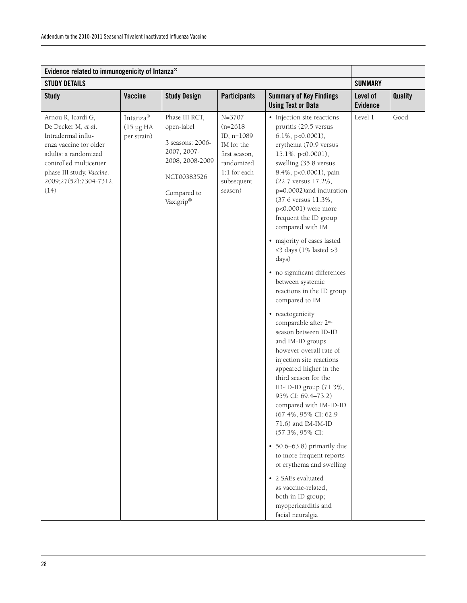| Evidence related to immunogenicity of Intanza®                                                                                                                                                             |                                            |                                                                                                                               |                                                                                                                                |                                                                                                                                                                                                                                                                                                                                                                                                                                                                                                                                                                                                                                                                                                                                                                                                                                                                                                                                                                                                                                                           |                             |                |
|------------------------------------------------------------------------------------------------------------------------------------------------------------------------------------------------------------|--------------------------------------------|-------------------------------------------------------------------------------------------------------------------------------|--------------------------------------------------------------------------------------------------------------------------------|-----------------------------------------------------------------------------------------------------------------------------------------------------------------------------------------------------------------------------------------------------------------------------------------------------------------------------------------------------------------------------------------------------------------------------------------------------------------------------------------------------------------------------------------------------------------------------------------------------------------------------------------------------------------------------------------------------------------------------------------------------------------------------------------------------------------------------------------------------------------------------------------------------------------------------------------------------------------------------------------------------------------------------------------------------------|-----------------------------|----------------|
| <b>STUDY DETAILS</b>                                                                                                                                                                                       |                                            |                                                                                                                               |                                                                                                                                |                                                                                                                                                                                                                                                                                                                                                                                                                                                                                                                                                                                                                                                                                                                                                                                                                                                                                                                                                                                                                                                           | <b>SUMMARY</b>              |                |
| <b>Study</b>                                                                                                                                                                                               | Vaccine                                    | <b>Study Design</b>                                                                                                           | <b>Participants</b>                                                                                                            | <b>Summary of Key Findings</b><br><b>Using Text or Data</b>                                                                                                                                                                                                                                                                                                                                                                                                                                                                                                                                                                                                                                                                                                                                                                                                                                                                                                                                                                                               | Level of<br><b>Evidence</b> | <b>Quality</b> |
| Arnou R, Icardi G,<br>De Decker M, et al.<br>Intradermal influ-<br>enza vaccine for older<br>adults: a randomized<br>controlled multicenter<br>phase III study. Vaccine.<br>2009;27(52):7304-7312.<br>(14) | Intanza®<br>$(15 \mu g HA)$<br>per strain) | Phase III RCT,<br>open-label<br>3 seasons: 2006-<br>2007, 2007-<br>2008, 2008-2009<br>NCT00383526<br>Compared to<br>Vaxigrip® | $N = 3707$<br>$(n=2618)$<br>ID, $n=1089$<br>IM for the<br>first season,<br>randomized<br>1:1 for each<br>subsequent<br>season) | • Injection site reactions<br>pruritis (29.5 versus<br>6.1%, p<0.0001),<br>erythema (70.9 versus<br>15.1%, p<0.0001),<br>swelling (35.8 versus<br>8.4%, p<0.0001), pain<br>(22.7 versus 17.2%,<br>p=0.0002)and induration<br>(37.6 versus 11.3%,<br>p<0.0001) were more<br>frequent the ID group<br>compared with IM<br>• majority of cases lasted<br>≤3 days (1% lasted >3<br>days)<br>· no significant differences<br>between systemic<br>reactions in the ID group<br>compared to IM<br>• reactogenicity<br>comparable after 2 <sup>nd</sup><br>season between ID-ID<br>and IM-ID groups<br>however overall rate of<br>injection site reactions<br>appeared higher in the<br>third season for the<br>ID-ID-ID group (71.3%,<br>95% CI: 69.4-73.2)<br>compared with IM-ID-ID<br>(67.4%, 95% CI: 62.9-<br>71.6) and IM-IM-ID<br>(57.3%, 95% CI:<br>$\cdot$ 50.6–63.8) primarily due<br>to more frequent reports<br>of erythema and swelling<br>• 2 SAEs evaluated<br>as vaccine-related,<br>both in ID group;<br>myopericarditis and<br>facial neuralgia | Level 1                     | Good           |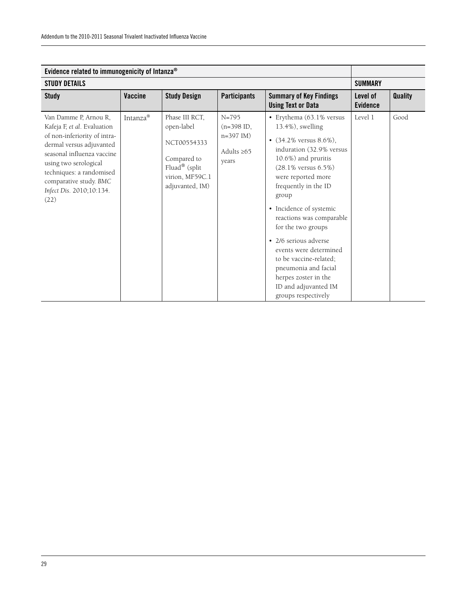| Evidence related to immunogenicity of Intanza®                                                                                                                                                                                                                    |          |                                                                                                                   |                                                                       |                                                                                                                                                                                                                                                                                                                                                                                                                                                                               |                             |                |
|-------------------------------------------------------------------------------------------------------------------------------------------------------------------------------------------------------------------------------------------------------------------|----------|-------------------------------------------------------------------------------------------------------------------|-----------------------------------------------------------------------|-------------------------------------------------------------------------------------------------------------------------------------------------------------------------------------------------------------------------------------------------------------------------------------------------------------------------------------------------------------------------------------------------------------------------------------------------------------------------------|-----------------------------|----------------|
| <b>STUDY DETAILS</b>                                                                                                                                                                                                                                              |          |                                                                                                                   |                                                                       |                                                                                                                                                                                                                                                                                                                                                                                                                                                                               | <b>SUMMARY</b>              |                |
| <b>Study</b>                                                                                                                                                                                                                                                      | Vaccine  | <b>Study Design</b>                                                                                               | <b>Participants</b>                                                   | <b>Summary of Key Findings</b><br><b>Using Text or Data</b>                                                                                                                                                                                                                                                                                                                                                                                                                   | Level of<br><b>Evidence</b> | <b>Quality</b> |
| Van Damme P, Arnou R,<br>Kafeja F, et al. Evaluation<br>of non-inferiority of intra-<br>dermal versus adjuvanted<br>seasonal influenza vaccine<br>using two serological<br>techniques: a randomised<br>comparative study. BMC<br>Infect Dis. 2010;10:134.<br>(22) | Intanza® | Phase III RCT,<br>open-label<br>NCT00554333<br>Compared to<br>Fluad® (split<br>virion, MF59C.1<br>adjuvanted, IM) | $N = 795$<br>$(n=398$ ID,<br>$n=397$ IM)<br>Adults $\geq 65$<br>years | • Erythema (63.1% versus<br>13.4%), swelling<br>• $(34.2\%$ versus $8.6\%$ ),<br>induration (32.9% versus<br>10.6%) and pruritis<br>$(28.1\%$ versus $6.5\%)$<br>were reported more<br>frequently in the ID<br>group<br>• Incidence of systemic<br>reactions was comparable<br>for the two groups<br>• 2/6 serious adverse<br>events were determined<br>to be vaccine-related;<br>pneumonia and facial<br>herpes zoster in the<br>ID and adjuvanted IM<br>groups respectively | Level 1                     | Good           |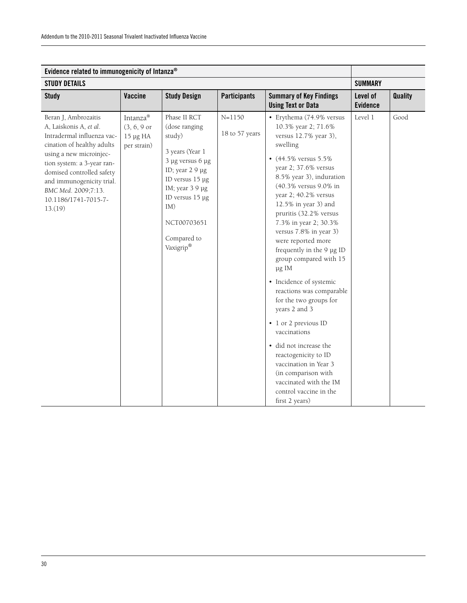| Evidence related to immunogenicity of Intanza®                                                                                                                                                                                                                                          |                                                               |                                                                                                                                                                                                              |                              |                                                                                                                                                                                                                                                                                                                                                                                                                                                                                                                                                                                                                                                                                                                                      |                             |                |
|-----------------------------------------------------------------------------------------------------------------------------------------------------------------------------------------------------------------------------------------------------------------------------------------|---------------------------------------------------------------|--------------------------------------------------------------------------------------------------------------------------------------------------------------------------------------------------------------|------------------------------|--------------------------------------------------------------------------------------------------------------------------------------------------------------------------------------------------------------------------------------------------------------------------------------------------------------------------------------------------------------------------------------------------------------------------------------------------------------------------------------------------------------------------------------------------------------------------------------------------------------------------------------------------------------------------------------------------------------------------------------|-----------------------------|----------------|
| <b>STUDY DETAILS</b>                                                                                                                                                                                                                                                                    |                                                               |                                                                                                                                                                                                              |                              |                                                                                                                                                                                                                                                                                                                                                                                                                                                                                                                                                                                                                                                                                                                                      | <b>SUMMARY</b>              |                |
| <b>Study</b>                                                                                                                                                                                                                                                                            | <b>Vaccine</b>                                                | <b>Study Design</b>                                                                                                                                                                                          | <b>Participants</b>          | <b>Summary of Key Findings</b><br><b>Using Text or Data</b>                                                                                                                                                                                                                                                                                                                                                                                                                                                                                                                                                                                                                                                                          | Level of<br><b>Evidence</b> | <b>Quality</b> |
| Beran J, Ambrozaitis<br>A, Laiskonis A, et al.<br>Intradermal influenza vac-<br>cination of healthy adults<br>using a new microinjec-<br>tion system: a 3-year ran-<br>domised controlled safety<br>and immunogenicity trial.<br>BMC Med. 2009;7:13.<br>10.1186/1741-7015-7-<br>13.(19) | Intanza®<br>$(3, 6, 9 \text{ or }$<br>15 µg HA<br>per strain) | Phase II RCT<br>(dose ranging<br>study)<br>3 years (Year 1<br>3 µg versus 6 µg<br>ID; year 2 9 µg<br>ID versus 15 µg<br>IM; year 3 9 µg<br>ID versus 15 µg<br>IM)<br>NCT00703651<br>Compared to<br>Vaxigrip® | $N = 1150$<br>18 to 57 years | • Erythema (74.9% versus<br>10.3% year 2; 71.6%<br>versus 12.7% year 3),<br>swelling<br>• $(44.5\%$ versus $5.5\%$<br>year 2; 37.6% versus<br>8.5% year 3), induration<br>(40.3% versus 9.0% in<br>year 2; 40.2% versus<br>12.5% in year 3) and<br>pruritis (32.2% versus<br>7.3% in year 2; 30.3%<br>versus 7.8% in year 3)<br>were reported more<br>frequently in the 9 µg ID<br>group compared with 15<br>µg IM<br>• Incidence of systemic<br>reactions was comparable<br>for the two groups for<br>years 2 and 3<br>• 1 or 2 previous ID<br>vaccinations<br>· did not increase the<br>reactogenicity to ID<br>vaccination in Year 3<br>(in comparison with<br>vaccinated with the IM<br>control vaccine in the<br>first 2 years) | Level 1                     | Good           |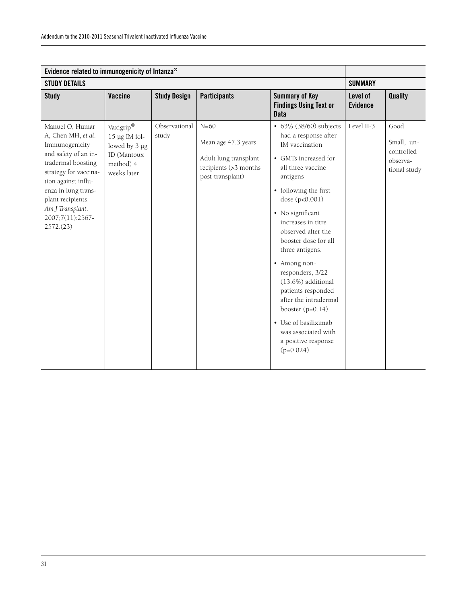| Evidence related to immunogenicity of Intanza®                                                                                                                                                                                                         |                                                                                             |                        |                                                                                                     |                                                                                                                                                                                                                                                                                                                                                                                                                                                                                                         |                             |                                                              |
|--------------------------------------------------------------------------------------------------------------------------------------------------------------------------------------------------------------------------------------------------------|---------------------------------------------------------------------------------------------|------------------------|-----------------------------------------------------------------------------------------------------|---------------------------------------------------------------------------------------------------------------------------------------------------------------------------------------------------------------------------------------------------------------------------------------------------------------------------------------------------------------------------------------------------------------------------------------------------------------------------------------------------------|-----------------------------|--------------------------------------------------------------|
| <b>STUDY DETAILS</b>                                                                                                                                                                                                                                   |                                                                                             |                        |                                                                                                     |                                                                                                                                                                                                                                                                                                                                                                                                                                                                                                         | <b>SUMMARY</b>              |                                                              |
| <b>Study</b>                                                                                                                                                                                                                                           | <b>Vaccine</b>                                                                              | <b>Study Design</b>    | <b>Participants</b>                                                                                 | <b>Summary of Key</b><br><b>Findings Using Text or</b><br><b>Data</b>                                                                                                                                                                                                                                                                                                                                                                                                                                   | Level of<br><b>Evidence</b> | Quality                                                      |
| Manuel O, Humar<br>A, Chen MH, et al.<br>Immunogenicity<br>and safety of an in-<br>tradermal boosting<br>strategy for vaccina-<br>tion against influ-<br>enza in lung trans-<br>plant recipients.<br>Am J Transplant.<br>2007;7(11):2567-<br>2572.(23) | Vaxigrip®<br>$15 \mu g$ IM fol-<br>lowed by 3 µg<br>ID (Mantoux<br>method) 4<br>weeks later | Observational<br>study | $N=60$<br>Mean age 47.3 years<br>Adult lung transplant<br>recipients (>3 months<br>post-transplant) | • 63% (38/60) subjects<br>had a response after<br>IM vaccination<br>• GMTs increased for<br>all three vaccine<br>antigens<br>• following the first<br>dose (p<0.001)<br>· No significant<br>increases in titre<br>observed after the<br>booster dose for all<br>three antigens.<br>• Among non-<br>responders, 3/22<br>(13.6%) additional<br>patients responded<br>after the intradermal<br>booster $(p=0.14)$ .<br>• Use of basiliximab<br>was associated with<br>a positive response<br>$(p=0.024)$ . | Level II-3                  | Good<br>Small, un-<br>controlled<br>observa-<br>tional study |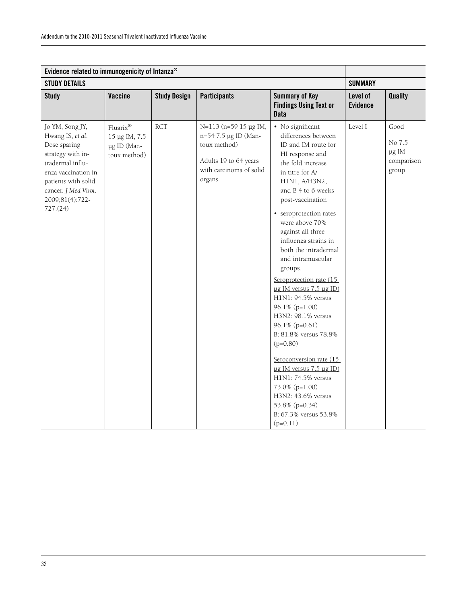| Evidence related to immunogenicity of Intanza®                                                                                                                                                    |                                                          |                     |                                                                                                                             |                                                                                                                                                                                                                                                                                                                                                                                                                                                                                                                                                                                                                                                                                                           |                             |                                                |
|---------------------------------------------------------------------------------------------------------------------------------------------------------------------------------------------------|----------------------------------------------------------|---------------------|-----------------------------------------------------------------------------------------------------------------------------|-----------------------------------------------------------------------------------------------------------------------------------------------------------------------------------------------------------------------------------------------------------------------------------------------------------------------------------------------------------------------------------------------------------------------------------------------------------------------------------------------------------------------------------------------------------------------------------------------------------------------------------------------------------------------------------------------------------|-----------------------------|------------------------------------------------|
| <b>STUDY DETAILS</b>                                                                                                                                                                              |                                                          |                     |                                                                                                                             |                                                                                                                                                                                                                                                                                                                                                                                                                                                                                                                                                                                                                                                                                                           | <b>SUMMARY</b>              |                                                |
| <b>Study</b>                                                                                                                                                                                      | <b>Vaccine</b>                                           | <b>Study Design</b> | <b>Participants</b>                                                                                                         | <b>Summary of Key</b><br><b>Findings Using Text or</b><br><b>Data</b>                                                                                                                                                                                                                                                                                                                                                                                                                                                                                                                                                                                                                                     | Level of<br><b>Evidence</b> | <b>Quality</b>                                 |
| Jo YM, Song JY,<br>Hwang IS, et al.<br>Dose sparing<br>strategy with in-<br>tradermal influ-<br>enza vaccination in<br>patients with solid<br>cancer. J Med Virol.<br>2009;81(4):722-<br>727.(24) | Fluarix®<br>15 µg IM, 7.5<br>µg ID (Man-<br>toux method) | <b>RCT</b>          | N=113 (n=59 15 µg IM,<br>n=54 7.5 µg ID (Man-<br>toux method)<br>Adults 19 to 64 years<br>with carcinoma of solid<br>organs | · No significant<br>differences between<br>ID and IM route for<br>HI response and<br>the fold increase<br>in titre for A/<br>H1N1, A/H3N2,<br>and B 4 to 6 weeks<br>post-vaccination<br>• seroprotection rates<br>were above 70%<br>against all three<br>influenza strains in<br>both the intradermal<br>and intramuscular<br>groups.<br>Seroprotection rate (15<br>ug IM versus 7.5 µg ID)<br>H1N1: 94.5% versus<br>96.1% (p=1.00)<br>H3N2: 98.1% versus<br>96.1% (p=0.61)<br>B: 81.8% versus 78.8%<br>$(p=0.80)$<br>Seroconversion rate (15<br>$\mu$ g IM versus 7.5 $\mu$ g ID)<br>H1N1: 74.5% versus<br>73.0% (p=1.00)<br>H3N2: 43.6% versus<br>53.8% (p=0.34)<br>B: 67.3% versus 53.8%<br>$(p=0.11)$ | Level I                     | Good<br>No 7.5<br>µg IM<br>comparison<br>group |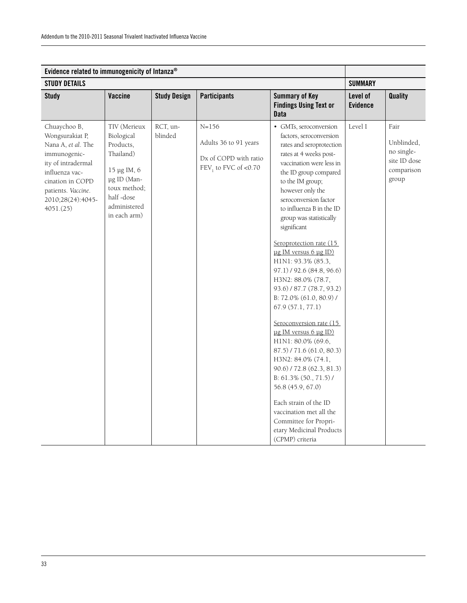| Evidence related to immunogenicity of Intanza®                                                                                                                                            |                                                                                                                                                 |                     |                                                                                       |                                                                                                                                                                                                                                                                                                                                                                                                                                                                                                                                                                                                                                                                                                                                                                                                                                                   |                             |                                                                         |
|-------------------------------------------------------------------------------------------------------------------------------------------------------------------------------------------|-------------------------------------------------------------------------------------------------------------------------------------------------|---------------------|---------------------------------------------------------------------------------------|---------------------------------------------------------------------------------------------------------------------------------------------------------------------------------------------------------------------------------------------------------------------------------------------------------------------------------------------------------------------------------------------------------------------------------------------------------------------------------------------------------------------------------------------------------------------------------------------------------------------------------------------------------------------------------------------------------------------------------------------------------------------------------------------------------------------------------------------------|-----------------------------|-------------------------------------------------------------------------|
| <b>STUDY DETAILS</b>                                                                                                                                                                      |                                                                                                                                                 |                     |                                                                                       |                                                                                                                                                                                                                                                                                                                                                                                                                                                                                                                                                                                                                                                                                                                                                                                                                                                   | <b>SUMMARY</b>              |                                                                         |
| <b>Study</b>                                                                                                                                                                              | Vaccine                                                                                                                                         | <b>Study Design</b> | <b>Participants</b>                                                                   | <b>Summary of Key</b><br><b>Findings Using Text or</b><br><b>Data</b>                                                                                                                                                                                                                                                                                                                                                                                                                                                                                                                                                                                                                                                                                                                                                                             | Level of<br><b>Evidence</b> | <b>Quality</b>                                                          |
| Chuaychoo B,<br>Wongsurakiat P,<br>Nana A, et al. The<br>immunogenic-<br>ity of intradermal<br>influenza vac-<br>cination in COPD<br>patients. Vaccine.<br>2010;28(24):4045-<br>4051.(25) | TIV (Merieux<br>Biological<br>Products,<br>Thailand)<br>15 μg IM, 6<br>µg ID (Man-<br>toux method;<br>half-dose<br>administered<br>in each arm) | RCT, un-<br>blinded | $N = 156$<br>Adults 36 to 91 years<br>Dx of COPD with ratio<br>$FEV1$ to FVC of <0.70 | • GMTs, seroconversion<br>factors, seroconversion<br>rates and seroprotection<br>rates at 4 weeks post-<br>vaccination were less in<br>the ID group compared<br>to the IM group;<br>however only the<br>seroconversion factor<br>to influenza B in the ID<br>group was statistically<br>significant<br>Seroprotection rate (15<br>ug IM versus 6 µg ID)<br>H1N1: 93.3% (85.3,<br>97.1) / 92.6 (84.8, 96.6)<br>H3N2: 88.0% (78.7,<br>93.6) / 87.7 (78.7, 93.2)<br>B: 72.0% (61.0, 80.9) /<br>67.9(57.1, 77.1)<br>Seroconversion rate (15<br>ug IM versus 6 µg ID)<br>H1N1: 80.0% (69.6,<br>87.5) / 71.6 (61.0, 80.3)<br>H3N2: 84.0% (74.1,<br>$90.6$ / 72.8 (62.3, 81.3)<br>B: 61.3% (50., 71.5)/<br>56.8 (45.9, 67.0)<br>Each strain of the ID<br>vaccination met all the<br>Committee for Propri-<br>etary Medicinal Products<br>(CPMP) criteria | Level I                     | Fair<br>Unblinded,<br>no single-<br>site ID dose<br>comparison<br>group |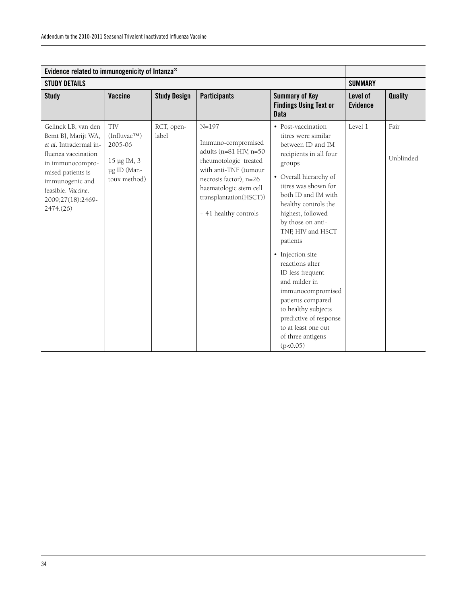| Evidence related to immunogenicity of Intanza <sup>®</sup>                                                                                                                                                     |                                                                                          |                     |                                                                                                                                                                                                                    |                                                                                                                                                                                                                                                                                                                                                                                                                                                                                                               |                             |                   |
|----------------------------------------------------------------------------------------------------------------------------------------------------------------------------------------------------------------|------------------------------------------------------------------------------------------|---------------------|--------------------------------------------------------------------------------------------------------------------------------------------------------------------------------------------------------------------|---------------------------------------------------------------------------------------------------------------------------------------------------------------------------------------------------------------------------------------------------------------------------------------------------------------------------------------------------------------------------------------------------------------------------------------------------------------------------------------------------------------|-----------------------------|-------------------|
| <b>STUDY DETAILS</b>                                                                                                                                                                                           |                                                                                          |                     |                                                                                                                                                                                                                    |                                                                                                                                                                                                                                                                                                                                                                                                                                                                                                               | <b>SUMMARY</b>              |                   |
| <b>Study</b>                                                                                                                                                                                                   | Vaccine                                                                                  | <b>Study Design</b> | <b>Participants</b>                                                                                                                                                                                                | <b>Summary of Key</b><br><b>Findings Using Text or</b><br><b>Data</b>                                                                                                                                                                                                                                                                                                                                                                                                                                         | Level of<br><b>Evidence</b> | Quality           |
| Gelinck LB, van den<br>Bemt BJ, Marijt WA,<br>et al. Intradermal in-<br>fluenza vaccination<br>in immunocompro-<br>mised patients is<br>immunogenic and<br>feasible. Vaccine.<br>2009;27(18):2469-<br>2474(26) | <b>TIV</b><br>$(Influvac^{TM})$<br>2005-06<br>15 μg IM, 3<br>µg ID (Man-<br>toux method) | RCT, open-<br>label | $N = 197$<br>Immuno-compromised<br>adults (n=81 HIV, n=50<br>rheumotologic treated<br>with anti-TNF (tumour<br>necrosis factor), n=26<br>haematologic stem cell<br>transplantation(HSCT))<br>+ 41 healthy controls | • Post-vaccination<br>titres were similar<br>between ID and IM<br>recipients in all four<br>groups<br>• Overall hierarchy of<br>titres was shown for<br>both ID and IM with<br>healthy controls the<br>highest, followed<br>by those on anti-<br>TNF, HIV and HSCT<br>patients<br>• Injection site<br>reactions after<br>ID less frequent<br>and milder in<br>immunocompromised<br>patients compared<br>to healthy subjects<br>predictive of response<br>to at least one out<br>of three antigens<br>(p<0.05) | Level 1                     | Fair<br>Unblinded |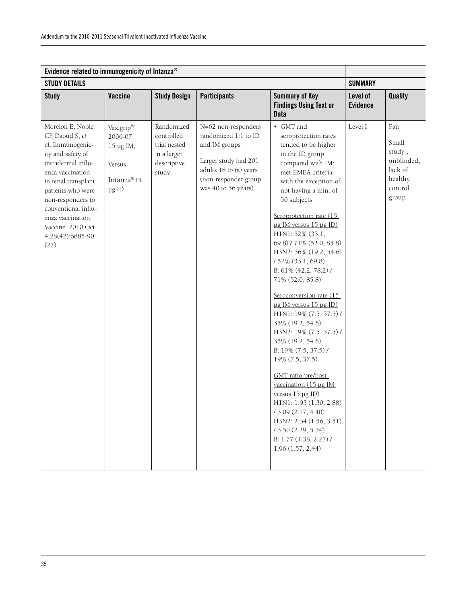| Evidence related to immunogenicity of Intanza®                                                                                                                                                                                                                                        |                                                                    |                                                                                 |                                                                                                                                                              |                                                                                                                                                                                                                                                                                                                                                                                                                                                                                                                                                                                                                                                                                                                                                                                                                  |                             |                                                                                 |  |  |
|---------------------------------------------------------------------------------------------------------------------------------------------------------------------------------------------------------------------------------------------------------------------------------------|--------------------------------------------------------------------|---------------------------------------------------------------------------------|--------------------------------------------------------------------------------------------------------------------------------------------------------------|------------------------------------------------------------------------------------------------------------------------------------------------------------------------------------------------------------------------------------------------------------------------------------------------------------------------------------------------------------------------------------------------------------------------------------------------------------------------------------------------------------------------------------------------------------------------------------------------------------------------------------------------------------------------------------------------------------------------------------------------------------------------------------------------------------------|-----------------------------|---------------------------------------------------------------------------------|--|--|
| <b>STUDY DETAILS</b>                                                                                                                                                                                                                                                                  |                                                                    |                                                                                 |                                                                                                                                                              |                                                                                                                                                                                                                                                                                                                                                                                                                                                                                                                                                                                                                                                                                                                                                                                                                  | <b>SUMMARY</b>              |                                                                                 |  |  |
| <b>Study</b>                                                                                                                                                                                                                                                                          | Vaccine                                                            | <b>Study Design</b>                                                             | <b>Participants</b>                                                                                                                                          | <b>Summary of Key</b><br><b>Findings Using Text or</b><br><b>Data</b>                                                                                                                                                                                                                                                                                                                                                                                                                                                                                                                                                                                                                                                                                                                                            | Level of<br><b>Evidence</b> | <b>Quality</b>                                                                  |  |  |
| Morelon E, Noble<br>CP, Daoud S, et<br>al. Immunogenic-<br>ity and safety of<br>intradermal influ-<br>enza vaccination<br>in renal transplant<br>patients who were<br>non-responders to<br>conventional influ-<br>enza vaccination.<br>Vaccine. 2010 Oct<br>4;28(42):6885-90.<br>(27) | Vaxigrip®<br>2006-07<br>15 μg IM,<br>Versus<br>Intanza®15<br>µg ID | Randomized<br>controlled<br>trial nested<br>in a larger<br>descriptive<br>study | N=62 non-responders<br>randomized 1:1 to ID<br>and IM groups<br>Larger study had 201<br>adults 18 to 60 years<br>(non-responder group<br>was 40 to 56 years) | • GMT and<br>seroprotection rates<br>tended to be higher<br>in the ID group<br>compared with IM;<br>met EMEA criteria<br>with the exception of<br>not having a min. of<br>50 subjects<br>Seroprotection rate (15<br>ug IM versus 15 µg ID)<br>H1N1: 52% (33.1,<br>69.8) / 71% (52.0, 85.8)<br>H3N2: 36% (19.2, 54.6)<br>/ 52% (33.1, 69.8)<br>B: 61% (42.2, 78.2) /<br>71% (52.0, 85.8)<br>Seroconversion rate (15<br>ug IM versus 15 µg ID)<br>H1N1: 19% (7.5, 37.5) /<br>35% (19.2, 54.6)<br>H3N2: 19% (7.5, 37.5) /<br>35% (19.2, 54.6)<br>B: 19% (7.5, 37.5) /<br>19% (7.5, 37.5)<br>GMT ratio pre/post-<br>vaccination (15 µg IM<br>versus $15 \mu g \, ID$ )<br>H1N1: 1.93 (1.30, 2.88)<br>13.09(2.17, 4.40)<br>H3N2: 2.34 (1.56, 3.51)<br>/3.50(2.29, 5.34)<br>B: 1.77 (1.38, 2.27) /<br>1.96(1.57, 2.44) | Level I                     | Fair<br>Small<br>study,<br>unblinded,<br>lack of<br>healthy<br>control<br>group |  |  |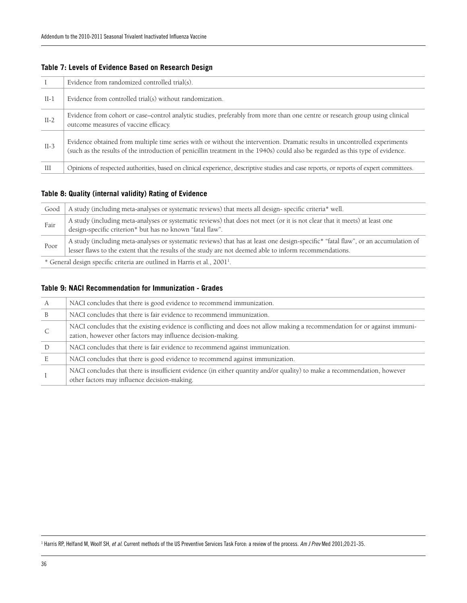|        | Evidence from randomized controlled trial(s).                                                                                                                                                                                                                 |
|--------|---------------------------------------------------------------------------------------------------------------------------------------------------------------------------------------------------------------------------------------------------------------|
| $II-1$ | Evidence from controlled trial(s) without randomization.                                                                                                                                                                                                      |
| $II-2$ | Evidence from cohort or case–control analytic studies, preferably from more than one centre or research group using clinical<br>outcome measures of vaccine efficacy.                                                                                         |
| $II-3$ | Evidence obtained from multiple time series with or without the intervention. Dramatic results in uncontrolled experiments<br>(such as the results of the introduction of penicillin treatment in the 1940s) could also be regarded as this type of evidence. |
| Ш      | Opinions of respected authorities, based on clinical experience, descriptive studies and case reports, or reports of expert committees.                                                                                                                       |

#### **Table 7: Levels of Evidence Based on Research Design**

#### **Table 8: Quality (internal validity) Rating of Evidence**

| Good                                                               | A study (including meta-analyses or systematic reviews) that meets all design-specific criteria* well.                                                                                                                                        |  |
|--------------------------------------------------------------------|-----------------------------------------------------------------------------------------------------------------------------------------------------------------------------------------------------------------------------------------------|--|
| Fair                                                               | A study (including meta-analyses or systematic reviews) that does not meet (or it is not clear that it meets) at least one<br>design-specific criterion* but has no known "fatal flaw".                                                       |  |
| Poor                                                               | A study (including meta-analyses or systematic reviews) that has at least one design-specific* "fatal flaw", or an accumulation of<br>lesser flaws to the extent that the results of the study are not deemed able to inform recommendations. |  |
| Caparal decim creating origins are quiliped in Harris at al. 2001. |                                                                                                                                                                                                                                               |  |

\* General design specific criteria are outlined in Harris et al., 20011 .

#### **Table 9: NACI Recommendation for Immunization - Grades**

| A   | NACI concludes that there is good evidence to recommend immunization.                                                                                                                      |
|-----|--------------------------------------------------------------------------------------------------------------------------------------------------------------------------------------------|
| B   | NACI concludes that there is fair evidence to recommend immunization.                                                                                                                      |
| - C | NACI concludes that the existing evidence is conflicting and does not allow making a recommendation for or against immuni-<br>zation, however other factors may influence decision-making. |
|     | NACI concludes that there is fair evidence to recommend against immunization.                                                                                                              |
|     | NACI concludes that there is good evidence to recommend against immunization.                                                                                                              |
|     | NACI concludes that there is insufficient evidence (in either quantity and/or quality) to make a recommendation, however<br>other factors may influence decision-making.                   |

1 Harris RP, Helfand M, Woolf SH, *et al*. Current methods of the US Preventive Services Task Force: a review of the process. *Am J Prev* Med 2001;20:21-35.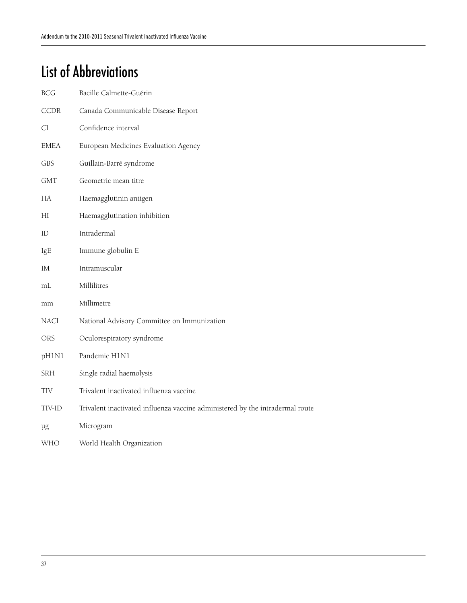# List of Abbreviations

| <b>BCG</b>  | Bacille Calmette-Guérin                                                       |
|-------------|-------------------------------------------------------------------------------|
| <b>CCDR</b> | Canada Communicable Disease Report                                            |
| CI          | Confidence interval                                                           |
| <b>EMEA</b> | European Medicines Evaluation Agency                                          |
| <b>GBS</b>  | Guillain-Barré syndrome                                                       |
| <b>GMT</b>  | Geometric mean titre                                                          |
| HA          | Haemagglutinin antigen                                                        |
| HI          | Haemagglutination inhibition                                                  |
| ID          | Intradermal                                                                   |
| IgE         | Immune globulin E                                                             |
| ΙM          | Intramuscular                                                                 |
| mL          | Millilitres                                                                   |
| mm          | Millimetre                                                                    |
| NACI        | National Advisory Committee on Immunization                                   |
| ORS         | Oculorespiratory syndrome                                                     |
| pH1N1       | Pandemic H1N1                                                                 |
| SRH         | Single radial haemolysis                                                      |
| TIV         | Trivalent inactivated influenza vaccine                                       |
| TIV-ID      | Trivalent inactivated influenza vaccine administered by the intradermal route |
| μg          | Microgram                                                                     |
| WHO         | World Health Organization                                                     |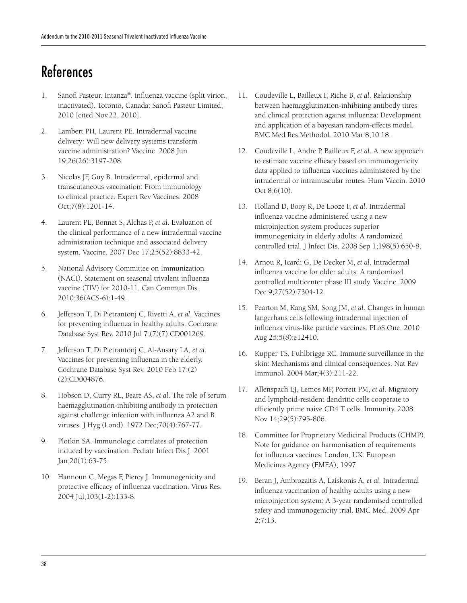# References

- 1. Sanofi Pasteur. Intanza®. influenza vaccine (split virion, inactivated). Toronto, Canada: Sanofi Pasteur Limited; 2010 [cited Nov.22, 2010].
- 2. Lambert PH, Laurent PE. Intradermal vaccine delivery: Will new delivery systems transform vaccine administration? Vaccine. 2008 Jun 19;26(26):3197-208.
- 3. Nicolas JF, Guy B. Intradermal, epidermal and transcutaneous vaccination: From immunology to clinical practice. Expert Rev Vaccines. 2008 Oct;7(8):1201-14.
- 4. Laurent PE, Bonnet S, Alchas P, *et al*. Evaluation of the clinical performance of a new intradermal vaccine administration technique and associated delivery system. Vaccine. 2007 Dec 17;25(52):8833-42.
- 5. National Advisory Committee on Immunization (NACI). Statement on seasonal trivalent influenza vaccine (TIV) for 2010-11. Can Commun Dis. 2010;36(ACS-6):1-49.
- 6. Jefferson T, Di Pietrantonj C, Rivetti A, *et al*. Vaccines for preventing influenza in healthy adults. Cochrane Database Syst Rev. 2010 Jul 7;(7)(7):CD001269.
- 7. Jefferson T, Di Pietrantonj C, Al-Ansary LA, *et al*. Vaccines for preventing influenza in the elderly. Cochrane Database Syst Rev. 2010 Feb 17;(2) (2):CD004876.
- 8. Hobson D, Curry RL, Beare AS, *et al*. The role of serum haemagglutination-inhibiting antibody in protection against challenge infection with influenza A2 and B viruses. J Hyg (Lond). 1972 Dec;70(4):767-77.
- 9. Plotkin SA. Immunologic correlates of protection induced by vaccination. Pediatr Infect Dis J. 2001 Jan;20(1):63-75.
- 10. Hannoun C, Megas F, Piercy J. Immunogenicity and protective efficacy of influenza vaccination. Virus Res. 2004 Jul;103(1-2):133-8.
- 11. Coudeville L, Bailleux F, Riche B, *et al*. Relationship between haemagglutination-inhibiting antibody titres and clinical protection against influenza: Development and application of a bayesian random-effects model. BMC Med Res Methodol. 2010 Mar 8;10:18.
- 12. Coudeville L, Andre P, Bailleux F, *et al*. A new approach to estimate vaccine efficacy based on immunogenicity data applied to influenza vaccines administered by the intradermal or intramuscular routes. Hum Vaccin. 2010 Oct 8;6(10).
- 13. Holland D, Booy R, De Looze F, *et al*. Intradermal influenza vaccine administered using a new microinjection system produces superior immunogenicity in elderly adults: A randomized controlled trial. J Infect Dis. 2008 Sep 1;198(5):650-8.
- 14. Arnou R, Icardi G, De Decker M, *et al*. Intradermal influenza vaccine for older adults: A randomized controlled multicenter phase III study. Vaccine. 2009 Dec 9;27(52):7304-12.
- 15. Pearton M, Kang SM, Song JM, *et al*. Changes in human langerhans cells following intradermal injection of influenza virus-like particle vaccines. PLoS One. 2010 Aug 25;5(8):e12410.
- 16. Kupper TS, Fuhlbrigge RC. Immune surveillance in the skin: Mechanisms and clinical consequences. Nat Rev Immunol. 2004 Mar;4(3):211-22.
- 17. Allenspach EJ, Lemos MP, Porrett PM, *et al*. Migratory and lymphoid-resident dendritic cells cooperate to efficiently prime naive CD4 T cells. Immunity. 2008 Nov 14;29(5):795-806.
- 18. Committee for Proprietary Medicinal Products (CHMP). Note for guidance on harmonisation of requirements for influenza vaccines. London, UK: European Medicines Agency (EMEA); 1997.
- 19. Beran J, Ambrozaitis A, Laiskonis A, *et al*. Intradermal influenza vaccination of healthy adults using a new microinjection system: A 3-year randomised controlled safety and immunogenicity trial. BMC Med. 2009 Apr 2;7:13.